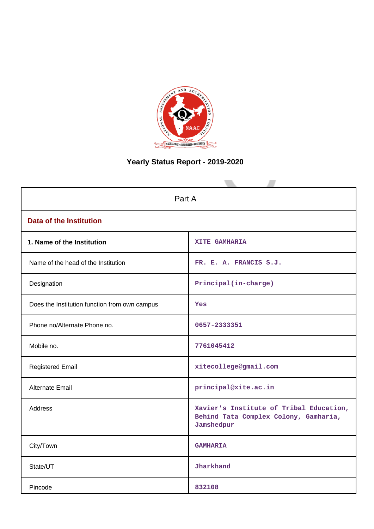

# **Yearly Status Report - 2019-2020**

| Part A                                        |                                                                                                |  |  |  |  |  |
|-----------------------------------------------|------------------------------------------------------------------------------------------------|--|--|--|--|--|
| <b>Data of the Institution</b>                |                                                                                                |  |  |  |  |  |
| 1. Name of the Institution                    | XITE GAMHARIA                                                                                  |  |  |  |  |  |
| Name of the head of the Institution           | FR. E. A. FRANCIS S.J.                                                                         |  |  |  |  |  |
| Designation                                   | Principal(in-charge)                                                                           |  |  |  |  |  |
| Does the Institution function from own campus | Yes                                                                                            |  |  |  |  |  |
| Phone no/Alternate Phone no.                  | 0657-2333351                                                                                   |  |  |  |  |  |
| Mobile no.                                    | 7761045412                                                                                     |  |  |  |  |  |
| <b>Registered Email</b>                       | xitecollege@gmail.com                                                                          |  |  |  |  |  |
| <b>Alternate Email</b>                        | principal@xite.ac.in                                                                           |  |  |  |  |  |
| Address                                       | Xavier's Institute of Tribal Education,<br>Behind Tata Complex Colony, Gamharia,<br>Jamshedpur |  |  |  |  |  |
| City/Town                                     | <b>GAMHARIA</b>                                                                                |  |  |  |  |  |
| State/UT                                      | Jharkhand                                                                                      |  |  |  |  |  |
| Pincode                                       | 832108                                                                                         |  |  |  |  |  |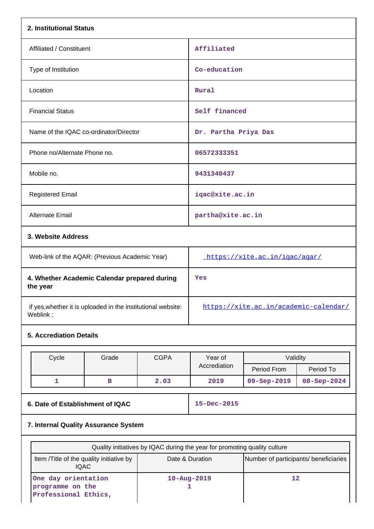| 2. Institutional Status                                                              |                                                                            |             |                                                                           |                                       |             |  |  |
|--------------------------------------------------------------------------------------|----------------------------------------------------------------------------|-------------|---------------------------------------------------------------------------|---------------------------------------|-------------|--|--|
| Affiliated / Constituent                                                             |                                                                            |             | Affiliated                                                                |                                       |             |  |  |
| Type of Institution                                                                  |                                                                            |             | Co-education                                                              |                                       |             |  |  |
| Location                                                                             |                                                                            |             | Rural                                                                     |                                       |             |  |  |
| <b>Financial Status</b>                                                              |                                                                            |             | Self financed                                                             |                                       |             |  |  |
| Name of the IQAC co-ordinator/Director                                               |                                                                            |             | Dr. Partha Priya Das                                                      |                                       |             |  |  |
| Phone no/Alternate Phone no.                                                         |                                                                            |             | 06572333351                                                               |                                       |             |  |  |
| Mobile no.                                                                           |                                                                            |             | 9431340437                                                                |                                       |             |  |  |
| <b>Registered Email</b>                                                              |                                                                            |             | iqac@xite.ac.in                                                           |                                       |             |  |  |
| Alternate Email                                                                      |                                                                            |             | partha@xite.ac.in                                                         |                                       |             |  |  |
| 3. Website Address                                                                   |                                                                            |             |                                                                           |                                       |             |  |  |
| Web-link of the AQAR: (Previous Academic Year)                                       |                                                                            |             | https://xite.ac.in/igac/agar/                                             |                                       |             |  |  |
| 4. Whether Academic Calendar prepared during<br>the year                             |                                                                            |             | Yes                                                                       |                                       |             |  |  |
| if yes, whether it is uploaded in the institutional website:<br>Weblink:             |                                                                            |             | https://xite.ac.in/academic-calendar/                                     |                                       |             |  |  |
| <b>5. Accrediation Details</b>                                                       |                                                                            |             |                                                                           |                                       |             |  |  |
| Cycle                                                                                | Grade                                                                      | <b>CGPA</b> | Year of                                                                   | Validity                              |             |  |  |
|                                                                                      |                                                                            |             | Accrediation                                                              | Period From                           | Period To   |  |  |
| $\mathbf{1}$                                                                         | в                                                                          | 2.03        | 2019                                                                      | 09-Sep-2019                           | 08-Sep-2024 |  |  |
| 6. Date of Establishment of IQAC                                                     |                                                                            |             | 15-Dec-2015                                                               |                                       |             |  |  |
| 7. Internal Quality Assurance System                                                 |                                                                            |             |                                                                           |                                       |             |  |  |
|                                                                                      |                                                                            |             | Quality initiatives by IQAC during the year for promoting quality culture |                                       |             |  |  |
|                                                                                      | Item /Title of the quality initiative by<br>Date & Duration<br><b>IQAC</b> |             |                                                                           | Number of participants/ beneficiaries |             |  |  |
| One day orientation<br>$10 - Aug - 2019$<br>programme on the<br>Professional Ethics, |                                                                            |             | 12<br>1                                                                   |                                       |             |  |  |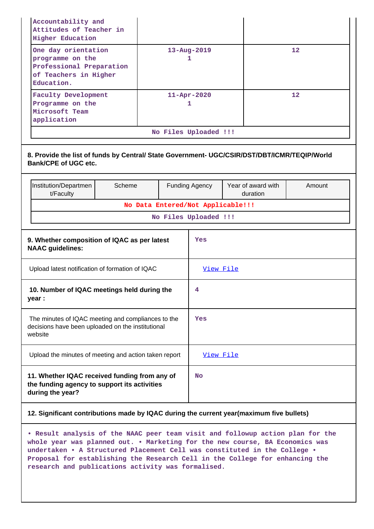| Accountability and<br>Attitudes of Teacher in<br><b>Higher Education</b>                                           |                                                                                              |                       |                       |                                |        |  |  |
|--------------------------------------------------------------------------------------------------------------------|----------------------------------------------------------------------------------------------|-----------------------|-----------------------|--------------------------------|--------|--|--|
| One day orientation<br>programme on the<br>Education.                                                              | 13-Aug-2019<br>Professional Preparation<br>of Teachers in Higher                             |                       |                       |                                | 12     |  |  |
| <b>Faculty Development</b><br>Programme on the<br>Microsoft Team<br>application                                    |                                                                                              |                       | 11-Apr-2020<br>1      |                                | 12     |  |  |
|                                                                                                                    |                                                                                              |                       | No Files Uploaded !!! |                                |        |  |  |
| <b>Bank/CPE of UGC etc.</b>                                                                                        | 8. Provide the list of funds by Central/ State Government- UGC/CSIR/DST/DBT/ICMR/TEQIP/World |                       |                       |                                |        |  |  |
| Institution/Departmen<br>t/Faculty                                                                                 | Scheme                                                                                       | <b>Funding Agency</b> |                       | Year of award with<br>duration | Amount |  |  |
|                                                                                                                    | No Data Entered/Not Applicable!!!                                                            |                       |                       |                                |        |  |  |
|                                                                                                                    |                                                                                              |                       | No Files Uploaded !!! |                                |        |  |  |
| 9. Whether composition of IQAC as per latest<br><b>NAAC</b> guidelines:                                            |                                                                                              |                       | Yes                   |                                |        |  |  |
| Upload latest notification of formation of IQAC                                                                    |                                                                                              |                       | View File             |                                |        |  |  |
| 10. Number of IQAC meetings held during the<br>year :                                                              |                                                                                              |                       | 4                     |                                |        |  |  |
| The minutes of IQAC meeting and compliances to the<br>decisions have been uploaded on the institutional<br>website |                                                                                              |                       | Yes                   |                                |        |  |  |
| Upload the minutes of meeting and action taken report                                                              |                                                                                              |                       | View File             |                                |        |  |  |
| 11. Whether IQAC received funding from any of<br>the funding agency to support its activities<br>during the year?  |                                                                                              | No                    |                       |                                |        |  |  |
|                                                                                                                    |                                                                                              |                       |                       |                                |        |  |  |

### **12. Significant contributions made by IQAC during the current year(maximum five bullets)**

**• Result analysis of the NAAC peer team visit and followup action plan for the whole year was planned out. • Marketing for the new course, BA Economics was undertaken • A Structured Placement Cell was constituted in the College • Proposal for establishing the Research Cell in the College for enhancing the research and publications activity was formalised.**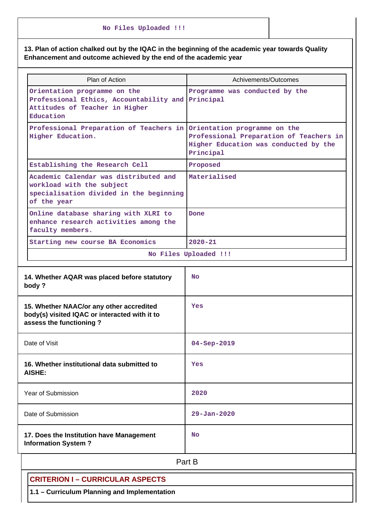|  |  | No Files Uploaded !!! |  |
|--|--|-----------------------|--|
|--|--|-----------------------|--|

## **13. Plan of action chalked out by the IQAC in the beginning of the academic year towards Quality Enhancement and outcome achieved by the end of the academic year**

| Plan of Action                                                                                                               | Achivements/Outcomes                                                                          |  |  |  |  |  |  |
|------------------------------------------------------------------------------------------------------------------------------|-----------------------------------------------------------------------------------------------|--|--|--|--|--|--|
| Orientation programme on the<br>Professional Ethics, Accountability and<br>Attitudes of Teacher in Higher<br>Education       | Programme was conducted by the<br>Principal                                                   |  |  |  |  |  |  |
| Professional Preparation of Teachers in Orientation programme on the<br>Higher Education.                                    | Professional Preparation of Teachers in<br>Higher Education was conducted by the<br>Principal |  |  |  |  |  |  |
| Establishing the Research Cell                                                                                               | Proposed                                                                                      |  |  |  |  |  |  |
| Academic Calendar was distributed and<br>workload with the subject<br>specialisation divided in the beginning<br>of the year | Materialised                                                                                  |  |  |  |  |  |  |
| Online database sharing with XLRI to<br>enhance research activities among the<br>faculty members.                            | Done                                                                                          |  |  |  |  |  |  |
| Starting new course BA Economics                                                                                             | $2020 - 21$                                                                                   |  |  |  |  |  |  |
|                                                                                                                              | No Files Uploaded !!!                                                                         |  |  |  |  |  |  |
| 14. Whether AQAR was placed before statutory<br>body?                                                                        | <b>No</b>                                                                                     |  |  |  |  |  |  |
| 15. Whether NAAC/or any other accredited<br>body(s) visited IQAC or interacted with it to<br>assess the functioning?         | Yes                                                                                           |  |  |  |  |  |  |
| Date of Visit                                                                                                                | $04 - Sep - 2019$                                                                             |  |  |  |  |  |  |
| 16. Whether institutional data submitted to<br><b>AISHE:</b>                                                                 | Yes                                                                                           |  |  |  |  |  |  |
| Year of Submission                                                                                                           | 2020                                                                                          |  |  |  |  |  |  |
| Date of Submission                                                                                                           | $29 - Jan - 2020$                                                                             |  |  |  |  |  |  |
| 17. Does the Institution have Management<br><b>Information System?</b>                                                       | No                                                                                            |  |  |  |  |  |  |
|                                                                                                                              | Part B                                                                                        |  |  |  |  |  |  |
| CRITERION I - CHRRICHI AR ASPECTS                                                                                            |                                                                                               |  |  |  |  |  |  |

**CRITERION I – CURRICULAR ASPECTS**

**1.1 – Curriculum Planning and Implementation**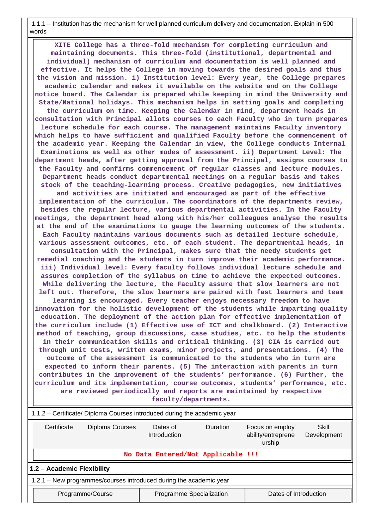1.1.1 – Institution has the mechanism for well planned curriculum delivery and documentation. Explain in 500 words

 **XITE College has a three-fold mechanism for completing curriculum and maintaining documents. This three-fold (institutional, departmental and individual) mechanism of curriculum and documentation is well planned and effective. It helps the College in moving towards the desired goals and thus the vision and mission. i) Institution level: Every year, the College prepares academic calendar and makes it available on the website and on the College notice board. The Calendar is prepared while keeping in mind the University and State/National holidays. This mechanism helps in setting goals and completing the curriculum on time. Keeping the Calendar in mind, department heads in consultation with Principal allots courses to each Faculty who in turn prepares lecture schedule for each course. The management maintains Faculty inventory which helps to have sufficient and qualified Faculty before the commencement of the academic year. Keeping the Calendar in view, the College conducts Internal Examinations as well as other modes of assessment. ii) Department Level: The department heads, after getting approval from the Principal, assigns courses to the Faculty and confirms commencement of regular classes and lecture modules. Department heads conduct departmental meetings on a regular basis and takes stock of the teaching-learning process. Creative pedagogies, new initiatives and activities are initiated and encouraged as part of the effective implementation of the curriculum. The coordinators of the departments review, besides the regular lecture, various departmental activities. In the Faculty meetings, the department head along with his/her colleagues analyse the results at the end of the examinations to gauge the learning outcomes of the students. Each Faculty maintains various documents such as detailed lecture schedule, various assessment outcomes, etc. of each student. The departmental heads, in consultation with the Principal, makes sure that the needy students get remedial coaching and the students in turn improve their academic performance. iii) Individual level: Every faculty follows individual lecture schedule and assures completion of the syllabus on time to achieve the expected outcomes. While delivering the lecture, the Faculty assure that slow learners are not left out. Therefore, the slow learners are paired with fast learners and team learning is encouraged. Every teacher enjoys necessary freedom to have innovation for the holistic development of the students while imparting quality education. The deployment of the action plan for effective implementation of the curriculum include (1) Effective use of ICT and chalkboard. (2) Interactive method of teaching, group discussions, case studies, etc. to help the students in their communication skills and critical thinking. (3) CIA is carried out through unit tests, written exams, minor projects, and presentations. (4) The outcome of the assessment is communicated to the students who in turn are expected to inform their parents. (5) The interaction with parents in turn contributes in the improvement of the students' performance. (6) Further, the curriculum and its implementation, course outcomes, students' performance, etc. are reviewed periodically and reports are maintained by respective faculty/departments.**

| 1.1.2 – Certificate/ Diploma Courses introduced during the academic year                                                                                 |                                    |  |  |  |  |  |  |
|----------------------------------------------------------------------------------------------------------------------------------------------------------|------------------------------------|--|--|--|--|--|--|
| Diploma Courses<br>Certificate<br><b>Duration</b><br>Skill<br>Dates of<br>Focus on employ<br>ability/entreprene<br>Introduction<br>Development<br>urship |                                    |  |  |  |  |  |  |
|                                                                                                                                                          | No Data Entered/Not Applicable !!! |  |  |  |  |  |  |
| 1.2 - Academic Flexibility                                                                                                                               |                                    |  |  |  |  |  |  |
| 1.2.1 - New programmes/courses introduced during the academic year                                                                                       |                                    |  |  |  |  |  |  |
| Dates of Introduction<br>Programme/Course<br>Programme Specialization                                                                                    |                                    |  |  |  |  |  |  |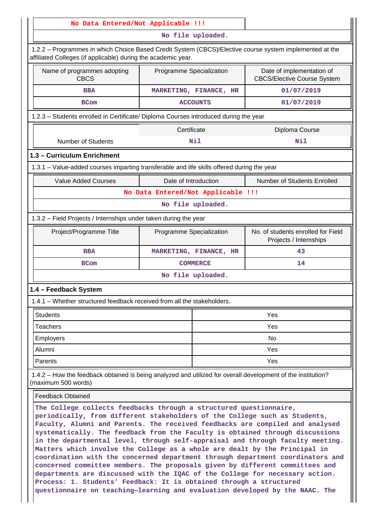| No Data Entered/Not Applicable !!!                                                                                                                                                                                                                                                                                                                                                                                                                                                                                                                                                                                                                                                                                                                                                                                                                                                          |                          |                                    |                                                                 |  |  |  |  |  |
|---------------------------------------------------------------------------------------------------------------------------------------------------------------------------------------------------------------------------------------------------------------------------------------------------------------------------------------------------------------------------------------------------------------------------------------------------------------------------------------------------------------------------------------------------------------------------------------------------------------------------------------------------------------------------------------------------------------------------------------------------------------------------------------------------------------------------------------------------------------------------------------------|--------------------------|------------------------------------|-----------------------------------------------------------------|--|--|--|--|--|
| No file uploaded.                                                                                                                                                                                                                                                                                                                                                                                                                                                                                                                                                                                                                                                                                                                                                                                                                                                                           |                          |                                    |                                                                 |  |  |  |  |  |
| 1.2.2 - Programmes in which Choice Based Credit System (CBCS)/Elective course system implemented at the<br>affiliated Colleges (if applicable) during the academic year.                                                                                                                                                                                                                                                                                                                                                                                                                                                                                                                                                                                                                                                                                                                    |                          |                                    |                                                                 |  |  |  |  |  |
| Name of programmes adopting<br><b>CBCS</b>                                                                                                                                                                                                                                                                                                                                                                                                                                                                                                                                                                                                                                                                                                                                                                                                                                                  | Programme Specialization |                                    | Date of implementation of<br><b>CBCS/Elective Course System</b> |  |  |  |  |  |
| <b>BBA</b>                                                                                                                                                                                                                                                                                                                                                                                                                                                                                                                                                                                                                                                                                                                                                                                                                                                                                  |                          | MARKETING, FINANCE, HR             | 01/07/2019                                                      |  |  |  |  |  |
| <b>BCom</b>                                                                                                                                                                                                                                                                                                                                                                                                                                                                                                                                                                                                                                                                                                                                                                                                                                                                                 |                          | <b>ACCOUNTS</b>                    | 01/07/2019                                                      |  |  |  |  |  |
| 1.2.3 - Students enrolled in Certificate/ Diploma Courses introduced during the year                                                                                                                                                                                                                                                                                                                                                                                                                                                                                                                                                                                                                                                                                                                                                                                                        |                          |                                    |                                                                 |  |  |  |  |  |
|                                                                                                                                                                                                                                                                                                                                                                                                                                                                                                                                                                                                                                                                                                                                                                                                                                                                                             | Certificate              |                                    | Diploma Course                                                  |  |  |  |  |  |
| <b>Number of Students</b>                                                                                                                                                                                                                                                                                                                                                                                                                                                                                                                                                                                                                                                                                                                                                                                                                                                                   |                          | Nil                                | Nil                                                             |  |  |  |  |  |
| 1.3 - Curriculum Enrichment                                                                                                                                                                                                                                                                                                                                                                                                                                                                                                                                                                                                                                                                                                                                                                                                                                                                 |                          |                                    |                                                                 |  |  |  |  |  |
| 1.3.1 - Value-added courses imparting transferable and life skills offered during the year                                                                                                                                                                                                                                                                                                                                                                                                                                                                                                                                                                                                                                                                                                                                                                                                  |                          |                                    |                                                                 |  |  |  |  |  |
| <b>Value Added Courses</b>                                                                                                                                                                                                                                                                                                                                                                                                                                                                                                                                                                                                                                                                                                                                                                                                                                                                  | Date of Introduction     |                                    | Number of Students Enrolled                                     |  |  |  |  |  |
|                                                                                                                                                                                                                                                                                                                                                                                                                                                                                                                                                                                                                                                                                                                                                                                                                                                                                             |                          | No Data Entered/Not Applicable !!! |                                                                 |  |  |  |  |  |
|                                                                                                                                                                                                                                                                                                                                                                                                                                                                                                                                                                                                                                                                                                                                                                                                                                                                                             |                          | No file uploaded.                  |                                                                 |  |  |  |  |  |
| 1.3.2 – Field Projects / Internships under taken during the year                                                                                                                                                                                                                                                                                                                                                                                                                                                                                                                                                                                                                                                                                                                                                                                                                            |                          |                                    |                                                                 |  |  |  |  |  |
| Project/Programme Title                                                                                                                                                                                                                                                                                                                                                                                                                                                                                                                                                                                                                                                                                                                                                                                                                                                                     | Programme Specialization |                                    | No. of students enrolled for Field<br>Projects / Internships    |  |  |  |  |  |
| <b>BBA</b>                                                                                                                                                                                                                                                                                                                                                                                                                                                                                                                                                                                                                                                                                                                                                                                                                                                                                  |                          | MARKETING, FINANCE, HR             | 43                                                              |  |  |  |  |  |
| <b>BCom</b>                                                                                                                                                                                                                                                                                                                                                                                                                                                                                                                                                                                                                                                                                                                                                                                                                                                                                 |                          | <b>COMMERCE</b>                    | 14                                                              |  |  |  |  |  |
|                                                                                                                                                                                                                                                                                                                                                                                                                                                                                                                                                                                                                                                                                                                                                                                                                                                                                             |                          | No file uploaded.                  |                                                                 |  |  |  |  |  |
| 1.4 - Feedback System                                                                                                                                                                                                                                                                                                                                                                                                                                                                                                                                                                                                                                                                                                                                                                                                                                                                       |                          |                                    |                                                                 |  |  |  |  |  |
| 1.4.1 – Whether structured feedback received from all the stakeholders.                                                                                                                                                                                                                                                                                                                                                                                                                                                                                                                                                                                                                                                                                                                                                                                                                     |                          |                                    |                                                                 |  |  |  |  |  |
| <b>Students</b>                                                                                                                                                                                                                                                                                                                                                                                                                                                                                                                                                                                                                                                                                                                                                                                                                                                                             |                          |                                    | Yes                                                             |  |  |  |  |  |
| <b>Teachers</b>                                                                                                                                                                                                                                                                                                                                                                                                                                                                                                                                                                                                                                                                                                                                                                                                                                                                             |                          | Yes                                |                                                                 |  |  |  |  |  |
| <b>Employers</b>                                                                                                                                                                                                                                                                                                                                                                                                                                                                                                                                                                                                                                                                                                                                                                                                                                                                            |                          |                                    | No                                                              |  |  |  |  |  |
| Alumni                                                                                                                                                                                                                                                                                                                                                                                                                                                                                                                                                                                                                                                                                                                                                                                                                                                                                      |                          |                                    | Yes                                                             |  |  |  |  |  |
| Parents                                                                                                                                                                                                                                                                                                                                                                                                                                                                                                                                                                                                                                                                                                                                                                                                                                                                                     |                          |                                    | Yes                                                             |  |  |  |  |  |
| 1.4.2 – How the feedback obtained is being analyzed and utilized for overall development of the institution?<br>(maximum 500 words)                                                                                                                                                                                                                                                                                                                                                                                                                                                                                                                                                                                                                                                                                                                                                         |                          |                                    |                                                                 |  |  |  |  |  |
| <b>Feedback Obtained</b>                                                                                                                                                                                                                                                                                                                                                                                                                                                                                                                                                                                                                                                                                                                                                                                                                                                                    |                          |                                    |                                                                 |  |  |  |  |  |
| The College collects feedbacks through a structured questionnaire,<br>periodically, from different stakeholders of the College such as Students,<br>Faculty, Alumni and Parents. The received feedbacks are compiled and analysed<br>systematically. The feedback from the Faculty is obtained through discussions<br>in the departmental level, through self-appraisal and through faculty meeting.<br>Matters which involve the College as a whole are dealt by the Principal in<br>coordination with the concerned department through department coordinators and<br>concerned committee members. The proposals given by different committees and<br>departments are discussed with the IQAC of the College for necessary action.<br>Process: 1. Students' Feedback: It is obtained through a structured<br>questionnaire on teaching-learning and evaluation developed by the NAAC. The |                          |                                    |                                                                 |  |  |  |  |  |

 $\mathbf{||}$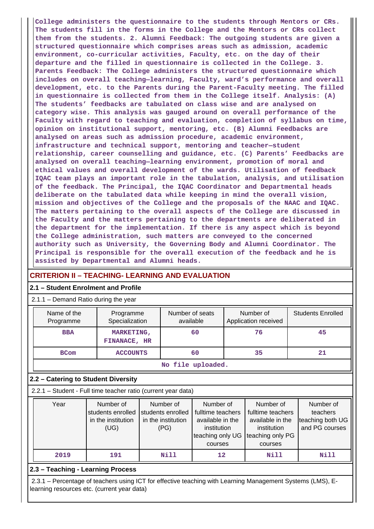**College administers the questionnaire to the students through Mentors or CRs. The students fill in the forms in the College and the Mentors or CRs collect them from the students. 2. Alumni Feedback: The outgoing students are given a structured questionnaire which comprises areas such as admission, academic environment, co-curricular activities, Faculty, etc. on the day of their departure and the filled in questionnaire is collected in the College. 3. Parents Feedback: The College administers the structured questionnaire which includes on overall teaching—learning, Faculty, ward's performance and overall development, etc. to the Parents during the Parent-Faculty meeting. The filled in questionnaire is collected from them in the College itself. Analysis: (A) The students' feedbacks are tabulated on class wise and are analysed on category wise. This analysis was gauged around on overall performance of the Faculty with regard to teaching and evaluation, completion of syllabus on time, opinion on institutional support, mentoring, etc. (B) Alumni Feedbacks are analysed on areas such as admission procedure, academic environment, infrastructure and technical support, mentoring and teacher—student relationship, career counselling and guidance, etc. (C) Parents' Feedbacks are analysed on overall teaching—learning environment, promotion of moral and ethical values and overall development of the wards. Utilisation of feedback IQAC team plays an important role in the tabulation, analysis, and utilisation of the feedback. The Principal, the IQAC Coordinator and Departmental heads deliberate on the tabulated data while keeping in mind the overall vision, mission and objectives of the College and the proposals of the NAAC and IQAC. The matters pertaining to the overall aspects of the College are discussed in the Faculty and the matters pertaining to the departments are deliberated in the department for the implementation. If there is any aspect which is beyond the College administration, such matters are conveyed to the concerned authority such as University, the Governing Body and Alumni Coordinator. The Principal is responsible for the overall execution of the feedback and he is assisted by Departmental and Alumni heads.**

## **CRITERION II – TEACHING- LEARNING AND EVALUATION**

### **2.1 – Student Enrolment and Profile**

#### 2.1.1 – Demand Ratio during the year

| Name of the<br>Programme | Programme<br>Specialization              | Number of seats<br>available | Number of<br>Application received | <b>Students Enrolled</b> |  |  |
|--------------------------|------------------------------------------|------------------------------|-----------------------------------|--------------------------|--|--|
| <b>BBA</b>               | <b>MARKETING,</b><br><b>FINANACE, HR</b> | 60<br>76                     |                                   | 45                       |  |  |
| <b>BCom</b>              | <b>ACCOUNTS</b>                          | 60                           | 35                                | 21                       |  |  |
| No file uploaded.        |                                          |                              |                                   |                          |  |  |

### **2.2 – Catering to Student Diversity**

2.2.1 – Student - Full time teacher ratio (current year data)

| Year | Number of          | Number of          | Number of         | Number of         | Number of        |
|------|--------------------|--------------------|-------------------|-------------------|------------------|
|      | students enrolled  | students enrolled  | fulltime teachers | fulltime teachers | teachers         |
|      | in the institution | in the institution | available in the  | available in the  | teaching both UG |
|      | (UG)               | (PG)               | institution       | institution       | and PG courses   |
|      |                    |                    | teaching only UG  | teaching only PG  |                  |
|      |                    |                    | courses           | courses           |                  |
| 2019 | 191                | <b>Nill</b>        | 12                | Nill              | Nill             |

### **2.3 – Teaching - Learning Process**

 2.3.1 – Percentage of teachers using ICT for effective teaching with Learning Management Systems (LMS), Elearning resources etc. (current year data)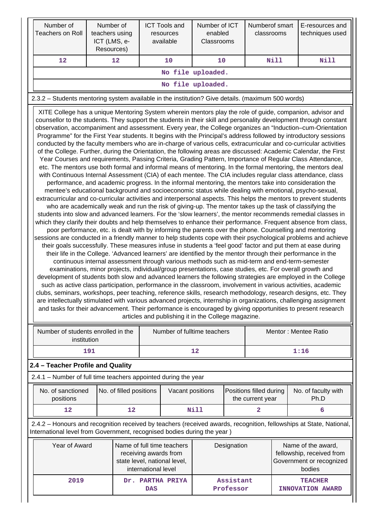|                                                                                                                                                                                                                       | Number of<br><b>Teachers on Roll</b>                                                                                                                                                                                                                                                                                                                                                                                                                                                                                                                                                                                                                                                                                                                                                                                                                                                                                                                                                                                                                                                                                                                                                                                                                                                                                                                                                                                                                                                                                                                                                                                                                                                                                                                                                                                                                                                                                                                                                                                                                                                                                                                                                                                                                                                                                                                                                                                                                                                                                                                                                                                                                                                                                                                                                                                                                                                                                                                                                                                                                                                                                                                                     | teachers using<br>ICT (LMS, e-<br>Resources) | Number of               |                                                                                       | <b>ICT Tools and</b><br>resources<br>available | Number of ICT<br>enabled<br>Classrooms |                                             | Numberof smart<br>classrooms |                             | E-resources and<br>techniques used                                                                                  |
|-----------------------------------------------------------------------------------------------------------------------------------------------------------------------------------------------------------------------|--------------------------------------------------------------------------------------------------------------------------------------------------------------------------------------------------------------------------------------------------------------------------------------------------------------------------------------------------------------------------------------------------------------------------------------------------------------------------------------------------------------------------------------------------------------------------------------------------------------------------------------------------------------------------------------------------------------------------------------------------------------------------------------------------------------------------------------------------------------------------------------------------------------------------------------------------------------------------------------------------------------------------------------------------------------------------------------------------------------------------------------------------------------------------------------------------------------------------------------------------------------------------------------------------------------------------------------------------------------------------------------------------------------------------------------------------------------------------------------------------------------------------------------------------------------------------------------------------------------------------------------------------------------------------------------------------------------------------------------------------------------------------------------------------------------------------------------------------------------------------------------------------------------------------------------------------------------------------------------------------------------------------------------------------------------------------------------------------------------------------------------------------------------------------------------------------------------------------------------------------------------------------------------------------------------------------------------------------------------------------------------------------------------------------------------------------------------------------------------------------------------------------------------------------------------------------------------------------------------------------------------------------------------------------------------------------------------------------------------------------------------------------------------------------------------------------------------------------------------------------------------------------------------------------------------------------------------------------------------------------------------------------------------------------------------------------------------------------------------------------------------------------------------------------|----------------------------------------------|-------------------------|---------------------------------------------------------------------------------------|------------------------------------------------|----------------------------------------|---------------------------------------------|------------------------------|-----------------------------|---------------------------------------------------------------------------------------------------------------------|
|                                                                                                                                                                                                                       | 12                                                                                                                                                                                                                                                                                                                                                                                                                                                                                                                                                                                                                                                                                                                                                                                                                                                                                                                                                                                                                                                                                                                                                                                                                                                                                                                                                                                                                                                                                                                                                                                                                                                                                                                                                                                                                                                                                                                                                                                                                                                                                                                                                                                                                                                                                                                                                                                                                                                                                                                                                                                                                                                                                                                                                                                                                                                                                                                                                                                                                                                                                                                                                                       |                                              | 12                      |                                                                                       | 10                                             | 10                                     |                                             |                              | <b>Nill</b>                 | Nill                                                                                                                |
|                                                                                                                                                                                                                       |                                                                                                                                                                                                                                                                                                                                                                                                                                                                                                                                                                                                                                                                                                                                                                                                                                                                                                                                                                                                                                                                                                                                                                                                                                                                                                                                                                                                                                                                                                                                                                                                                                                                                                                                                                                                                                                                                                                                                                                                                                                                                                                                                                                                                                                                                                                                                                                                                                                                                                                                                                                                                                                                                                                                                                                                                                                                                                                                                                                                                                                                                                                                                                          |                                              |                         |                                                                                       |                                                | No file uploaded.                      |                                             |                              |                             |                                                                                                                     |
|                                                                                                                                                                                                                       |                                                                                                                                                                                                                                                                                                                                                                                                                                                                                                                                                                                                                                                                                                                                                                                                                                                                                                                                                                                                                                                                                                                                                                                                                                                                                                                                                                                                                                                                                                                                                                                                                                                                                                                                                                                                                                                                                                                                                                                                                                                                                                                                                                                                                                                                                                                                                                                                                                                                                                                                                                                                                                                                                                                                                                                                                                                                                                                                                                                                                                                                                                                                                                          |                                              |                         |                                                                                       |                                                | No file uploaded.                      |                                             |                              |                             |                                                                                                                     |
|                                                                                                                                                                                                                       |                                                                                                                                                                                                                                                                                                                                                                                                                                                                                                                                                                                                                                                                                                                                                                                                                                                                                                                                                                                                                                                                                                                                                                                                                                                                                                                                                                                                                                                                                                                                                                                                                                                                                                                                                                                                                                                                                                                                                                                                                                                                                                                                                                                                                                                                                                                                                                                                                                                                                                                                                                                                                                                                                                                                                                                                                                                                                                                                                                                                                                                                                                                                                                          |                                              |                         |                                                                                       |                                                |                                        |                                             |                              |                             |                                                                                                                     |
|                                                                                                                                                                                                                       | 2.3.2 - Students mentoring system available in the institution? Give details. (maximum 500 words)<br>XITE College has a unique Mentoring System wherein mentors play the role of guide, companion, advisor and<br>counsellor to the students. They support the students in their skill and personality development through constant<br>observation, accompaniment and assessment. Every year, the College organizes an "Induction-cum-Orientation<br>Programme" for the First Year students. It begins with the Principal's address followed by introductory sessions<br>conducted by the faculty members who are in-charge of various cells, extracurricular and co-curricular activities<br>of the College. Further, during the Orientation, the following areas are discussed: Academic Calendar, the First<br>Year Courses and requirements, Passing Criteria, Grading Pattern, Importance of Regular Class Attendance,<br>etc. The mentors use both formal and informal means of mentoring. In the formal mentoring, the mentors deal<br>with Continuous Internal Assessment (CIA) of each mentee. The CIA includes regular class attendance, class<br>performance, and academic progress. In the informal mentoring, the mentors take into consideration the<br>mentee's educational background and socioeconomic status while dealing with emotional, psycho-sexual,<br>extracurricular and co-curricular activities and interpersonal aspects. This helps the mentors to prevent students<br>who are academically weak and run the risk of giving-up. The mentor takes up the task of classifying the<br>students into slow and advanced learners. For the 'slow learners', the mentor recommends remedial classes in<br>which they clarify their doubts and help themselves to enhance their performance. Frequent absence from class,<br>poor performance, etc. is dealt with by informing the parents over the phone. Counselling and mentoring<br>sessions are conducted in a friendly manner to help students cope with their psychological problems and achieve<br>their goals successfully. These measures infuse in students a 'feel good' factor and put them at ease during<br>their life in the College. 'Advanced learners' are identified by the mentor through their performance in the<br>continuous internal assessment through various methods such as mid-term and end-term-semester<br>examinations, minor projects, individual/group presentations, case studies, etc. For overall growth and<br>development of students both slow and advanced learners the following strategies are employed in the College<br>such as active class participation, performance in the classroom, involvement in various activities, academic<br>clubs, seminars, workshops, peer teaching, reference skills, research methodology, research designs, etc. They<br>are intellectually stimulated with various advanced projects, internship in organizations, challenging assignment<br>and tasks for their advancement. Their performance is encouraged by giving opportunities to present research<br>articles and publishing it in the College magazine. |                                              |                         |                                                                                       |                                                |                                        |                                             |                              |                             |                                                                                                                     |
|                                                                                                                                                                                                                       | Number of students enrolled in the<br>institution                                                                                                                                                                                                                                                                                                                                                                                                                                                                                                                                                                                                                                                                                                                                                                                                                                                                                                                                                                                                                                                                                                                                                                                                                                                                                                                                                                                                                                                                                                                                                                                                                                                                                                                                                                                                                                                                                                                                                                                                                                                                                                                                                                                                                                                                                                                                                                                                                                                                                                                                                                                                                                                                                                                                                                                                                                                                                                                                                                                                                                                                                                                        |                                              |                         |                                                                                       |                                                | Number of fulltime teachers            |                                             |                              |                             | Mentor: Mentee Ratio                                                                                                |
|                                                                                                                                                                                                                       |                                                                                                                                                                                                                                                                                                                                                                                                                                                                                                                                                                                                                                                                                                                                                                                                                                                                                                                                                                                                                                                                                                                                                                                                                                                                                                                                                                                                                                                                                                                                                                                                                                                                                                                                                                                                                                                                                                                                                                                                                                                                                                                                                                                                                                                                                                                                                                                                                                                                                                                                                                                                                                                                                                                                                                                                                                                                                                                                                                                                                                                                                                                                                                          | 191                                          |                         |                                                                                       |                                                | 12                                     |                                             |                              |                             | 1:16                                                                                                                |
|                                                                                                                                                                                                                       | 2.4 - Teacher Profile and Quality                                                                                                                                                                                                                                                                                                                                                                                                                                                                                                                                                                                                                                                                                                                                                                                                                                                                                                                                                                                                                                                                                                                                                                                                                                                                                                                                                                                                                                                                                                                                                                                                                                                                                                                                                                                                                                                                                                                                                                                                                                                                                                                                                                                                                                                                                                                                                                                                                                                                                                                                                                                                                                                                                                                                                                                                                                                                                                                                                                                                                                                                                                                                        |                                              |                         |                                                                                       |                                                |                                        |                                             |                              |                             |                                                                                                                     |
|                                                                                                                                                                                                                       | 2.4.1 – Number of full time teachers appointed during the year                                                                                                                                                                                                                                                                                                                                                                                                                                                                                                                                                                                                                                                                                                                                                                                                                                                                                                                                                                                                                                                                                                                                                                                                                                                                                                                                                                                                                                                                                                                                                                                                                                                                                                                                                                                                                                                                                                                                                                                                                                                                                                                                                                                                                                                                                                                                                                                                                                                                                                                                                                                                                                                                                                                                                                                                                                                                                                                                                                                                                                                                                                           |                                              |                         |                                                                                       |                                                |                                        |                                             |                              |                             |                                                                                                                     |
|                                                                                                                                                                                                                       | No. of sanctioned<br>positions                                                                                                                                                                                                                                                                                                                                                                                                                                                                                                                                                                                                                                                                                                                                                                                                                                                                                                                                                                                                                                                                                                                                                                                                                                                                                                                                                                                                                                                                                                                                                                                                                                                                                                                                                                                                                                                                                                                                                                                                                                                                                                                                                                                                                                                                                                                                                                                                                                                                                                                                                                                                                                                                                                                                                                                                                                                                                                                                                                                                                                                                                                                                           |                                              | No. of filled positions |                                                                                       | Vacant positions                               |                                        | Positions filled during<br>the current year |                              | No. of faculty with<br>Ph.D |                                                                                                                     |
|                                                                                                                                                                                                                       | 12                                                                                                                                                                                                                                                                                                                                                                                                                                                                                                                                                                                                                                                                                                                                                                                                                                                                                                                                                                                                                                                                                                                                                                                                                                                                                                                                                                                                                                                                                                                                                                                                                                                                                                                                                                                                                                                                                                                                                                                                                                                                                                                                                                                                                                                                                                                                                                                                                                                                                                                                                                                                                                                                                                                                                                                                                                                                                                                                                                                                                                                                                                                                                                       |                                              | 12                      |                                                                                       |                                                | Nill                                   |                                             | 2                            |                             | 6                                                                                                                   |
|                                                                                                                                                                                                                       |                                                                                                                                                                                                                                                                                                                                                                                                                                                                                                                                                                                                                                                                                                                                                                                                                                                                                                                                                                                                                                                                                                                                                                                                                                                                                                                                                                                                                                                                                                                                                                                                                                                                                                                                                                                                                                                                                                                                                                                                                                                                                                                                                                                                                                                                                                                                                                                                                                                                                                                                                                                                                                                                                                                                                                                                                                                                                                                                                                                                                                                                                                                                                                          |                                              |                         |                                                                                       |                                                |                                        |                                             |                              |                             | 2.4.2 - Honours and recognition received by teachers (received awards, recognition, fellowships at State, National, |
| International level from Government, recognised bodies during the year)<br>Year of Award<br>Name of full time teachers<br>Designation<br>receiving awards from<br>state level, national level,<br>international level |                                                                                                                                                                                                                                                                                                                                                                                                                                                                                                                                                                                                                                                                                                                                                                                                                                                                                                                                                                                                                                                                                                                                                                                                                                                                                                                                                                                                                                                                                                                                                                                                                                                                                                                                                                                                                                                                                                                                                                                                                                                                                                                                                                                                                                                                                                                                                                                                                                                                                                                                                                                                                                                                                                                                                                                                                                                                                                                                                                                                                                                                                                                                                                          |                                              |                         | Name of the award,<br>fellowship, received from<br>Government or recognized<br>bodies |                                                |                                        |                                             |                              |                             |                                                                                                                     |

 **2019 Dr. PARTHA PRIYA**

**DAS**

 **Assistant Professor**

 **TEACHER INNOVATION AWARD**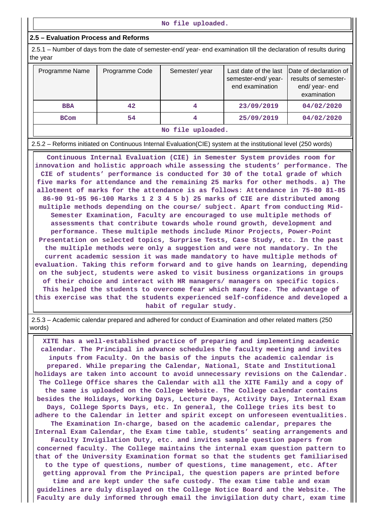#### **2.5 – Evaluation Process and Reforms**

 2.5.1 – Number of days from the date of semester-end/ year- end examination till the declaration of results during the year

| Programme Name   | Programme Code | Semester/year | Last date of the last<br>semester-end/year-<br>end examination | Date of declaration of<br>results of semester-<br>end/ year- end<br>examination |  |  |
|------------------|----------------|---------------|----------------------------------------------------------------|---------------------------------------------------------------------------------|--|--|
| <b>BBA</b>       | 42             | 4             | 23/09/2019                                                     | 04/02/2020                                                                      |  |  |
| <b>BCom</b>      | 54             |               | 25/09/2019                                                     | 04/02/2020                                                                      |  |  |
| No file unloaded |                |               |                                                                |                                                                                 |  |  |

#### **No file uploaded.**

2.5.2 – Reforms initiated on Continuous Internal Evaluation(CIE) system at the institutional level (250 words)

 **Continuous Internal Evaluation (CIE) in Semester System provides room for innovation and holistic approach while assessing the students' performance. The CIE of students' performance is conducted for 30 of the total grade of which five marks for attendance and the remaining 25 marks for other methods. a) The allotment of marks for the attendance is as follows: Attendance in 75-80 81-85 86-90 91-95 96-100 Marks 1 2 3 4 5 b) 25 marks of CIE are distributed among multiple methods depending on the course/ subject. Apart from conducting Mid-Semester Examination, Faculty are encouraged to use multiple methods of assessments that contribute towards whole round growth, development and performance. These multiple methods include Minor Projects, Power-Point Presentation on selected topics, Surprise Tests, Case Study, etc. In the past the multiple methods were only a suggestion and were not mandatory. In the current academic session it was made mandatory to have multiple methods of evaluation. Taking this reform forward and to give hands on learning, depending on the subject, students were asked to visit business organizations in groups of their choice and interact with HR managers/ managers on specific topics. This helped the students to overcome fear which many face. The advantage of this exercise was that the students experienced self-confidence and developed a habit of regular study.**

 2.5.3 – Academic calendar prepared and adhered for conduct of Examination and other related matters (250 words)

 **XITE has a well-established practice of preparing and implementing academic calendar. The Principal in advance schedules the faculty meeting and invites inputs from Faculty. On the basis of the inputs the academic calendar is prepared. While preparing the Calendar, National, State and Institutional holidays are taken into account to avoid unnecessary revisions on the Calendar. The College Office shares the Calendar with all the XITE Family and a copy of the same is uploaded on the College Website. The College calendar contains besides the Holidays, Working Days, Lecture Days, Activity Days, Internal Exam Days, College Sports Days, etc. In general, the College tries its best to adhere to the Calendar in letter and spirit except on unforeseen eventualities. The Examination In-charge, based on the academic calendar, prepares the Internal Exam Calendar, the Exam time table, students' seating arrangements and Faculty Invigilation Duty, etc. and invites sample question papers from concerned faculty. The College maintains the internal exam question pattern to that of the University Examination format so that the students get familiarised to the type of questions, number of questions, time management, etc. After getting approval from the Principal, the question papers are printed before time and are kept under the safe custody. The exam time table and exam guidelines are duly displayed on the College Notice Board and the Website. The Faculty are duly informed through email the invigilation duty chart, exam time**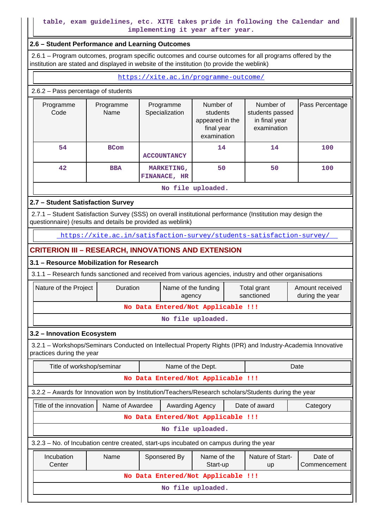## **table, exam guidelines, etc. XITE takes pride in following the Calendar and implementing it year after year.**

#### **2.6 – Student Performance and Learning Outcomes**

 2.6.1 – Program outcomes, program specific outcomes and course outcomes for all programs offered by the institution are stated and displayed in website of the institution (to provide the weblink)

<https://xite.ac.in/programme-outcome/>

#### 2.6.2 – Pass percentage of students

| Programme<br>Code | Programme<br>Name | Programme<br>Specialization       | Number of<br>students<br>appeared in the<br>final year<br>examination | Number of<br>students passed<br>in final year<br>examination | Pass Percentage |  |  |
|-------------------|-------------------|-----------------------------------|-----------------------------------------------------------------------|--------------------------------------------------------------|-----------------|--|--|
| 54                | <b>BCom</b>       | <b>ACCOUNTANCY</b>                | 14                                                                    | 14                                                           | 100             |  |  |
| 42 <sup>°</sup>   | <b>BBA</b>        | <b>MARKETING,</b><br>FINANACE, HR | 50                                                                    | 50                                                           | 100             |  |  |
| No file uploaded. |                   |                                   |                                                                       |                                                              |                 |  |  |

### **2.7 – Student Satisfaction Survey**

 2.7.1 – Student Satisfaction Survey (SSS) on overall institutional performance (Institution may design the questionnaire) (results and details be provided as weblink)

<https://xite.ac.in/satisfaction-survey/students-satisfaction-survey/>

## **CRITERION III – RESEARCH, INNOVATIONS AND EXTENSION**

## **3.1 – Resource Mobilization for Research**

3.1.1 – Research funds sanctioned and received from various agencies, industry and other organisations

| Nature of the Project | <b>Duration</b>                    | Name of the funding<br>agency | Total grant<br>sanctioned | Amount received<br>during the year |  |  |  |  |
|-----------------------|------------------------------------|-------------------------------|---------------------------|------------------------------------|--|--|--|--|
|                       | No Data Entered/Not Applicable !!! |                               |                           |                                    |  |  |  |  |
| No file uploaded.     |                                    |                               |                           |                                    |  |  |  |  |

#### **3.2 – Innovation Ecosystem**

 3.2.1 – Workshops/Seminars Conducted on Intellectual Property Rights (IPR) and Industry-Academia Innovative practices during the year

| Title of workshop/seminar                                                                            | Name of the Dept.<br>Date               |  |                   |                        |                         |  |  |  |
|------------------------------------------------------------------------------------------------------|-----------------------------------------|--|-------------------|------------------------|-------------------------|--|--|--|
| No Data Entered/Not Applicable !!!                                                                   |                                         |  |                   |                        |                         |  |  |  |
| 3.2.2 - Awards for Innovation won by Institution/Teachers/Research scholars/Students during the year |                                         |  |                   |                        |                         |  |  |  |
| Name of Awardee<br>Title of the innovation I                                                         | <b>Awarding Agency</b>                  |  |                   | Date of award          | Category                |  |  |  |
|                                                                                                      | No Data Entered/Not Applicable !!!      |  |                   |                        |                         |  |  |  |
|                                                                                                      |                                         |  | No file uploaded. |                        |                         |  |  |  |
| 3.2.3 – No. of Incubation centre created, start-ups incubated on campus during the year              |                                         |  |                   |                        |                         |  |  |  |
| Incubation<br>Name<br>Center                                                                         | Name of the<br>Sponsered By<br>Start-up |  |                   | Nature of Start-<br>up | Date of<br>Commencement |  |  |  |
| No Data Entered/Not Applicable !!!                                                                   |                                         |  |                   |                        |                         |  |  |  |
|                                                                                                      | No file uploaded.                       |  |                   |                        |                         |  |  |  |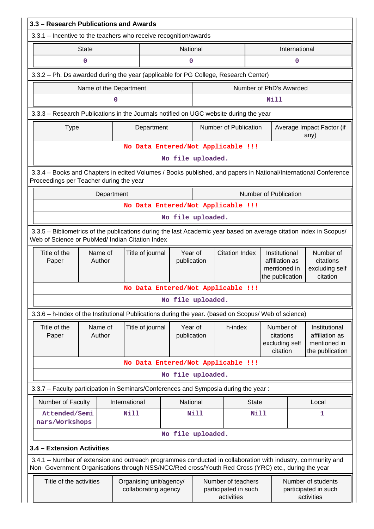| 3.3 - Research Publications and Awards                                                                                                                                                                             |                                                                                     |                  |                        |                                   |  |                                                          |                         |                                                                                                                            |                                                          |  |
|--------------------------------------------------------------------------------------------------------------------------------------------------------------------------------------------------------------------|-------------------------------------------------------------------------------------|------------------|------------------------|-----------------------------------|--|----------------------------------------------------------|-------------------------|----------------------------------------------------------------------------------------------------------------------------|----------------------------------------------------------|--|
| 3.3.1 - Incentive to the teachers who receive recognition/awards                                                                                                                                                   |                                                                                     |                  |                        |                                   |  |                                                          |                         |                                                                                                                            |                                                          |  |
| <b>State</b>                                                                                                                                                                                                       | National                                                                            |                  |                        |                                   |  |                                                          | International           |                                                                                                                            |                                                          |  |
| $\mathbf 0$                                                                                                                                                                                                        |                                                                                     |                  | $\mathbf 0$            |                                   |  |                                                          |                         | $\mathbf 0$                                                                                                                |                                                          |  |
|                                                                                                                                                                                                                    | 3.3.2 - Ph. Ds awarded during the year (applicable for PG College, Research Center) |                  |                        |                                   |  |                                                          |                         |                                                                                                                            |                                                          |  |
|                                                                                                                                                                                                                    | Name of the Department                                                              |                  |                        |                                   |  |                                                          | Number of PhD's Awarded |                                                                                                                            |                                                          |  |
|                                                                                                                                                                                                                    | 0                                                                                   |                  |                        |                                   |  |                                                          | Nill                    |                                                                                                                            |                                                          |  |
| 3.3.3 - Research Publications in the Journals notified on UGC website during the year                                                                                                                              |                                                                                     |                  |                        |                                   |  |                                                          |                         |                                                                                                                            |                                                          |  |
| <b>Type</b>                                                                                                                                                                                                        |                                                                                     | Department       |                        |                                   |  | Number of Publication                                    |                         |                                                                                                                            | Average Impact Factor (if<br>any)                        |  |
|                                                                                                                                                                                                                    |                                                                                     |                  |                        |                                   |  | No Data Entered/Not Applicable !!!                       |                         |                                                                                                                            |                                                          |  |
|                                                                                                                                                                                                                    |                                                                                     |                  | No file uploaded.      |                                   |  |                                                          |                         |                                                                                                                            |                                                          |  |
| 3.3.4 - Books and Chapters in edited Volumes / Books published, and papers in National/International Conference<br>Proceedings per Teacher during the year                                                         |                                                                                     |                  |                        |                                   |  |                                                          |                         |                                                                                                                            |                                                          |  |
|                                                                                                                                                                                                                    | Department                                                                          |                  |                        |                                   |  |                                                          | Number of Publication   |                                                                                                                            |                                                          |  |
|                                                                                                                                                                                                                    |                                                                                     |                  |                        |                                   |  | No Data Entered/Not Applicable !!!                       |                         |                                                                                                                            |                                                          |  |
|                                                                                                                                                                                                                    |                                                                                     |                  | No file uploaded.      |                                   |  |                                                          |                         |                                                                                                                            |                                                          |  |
| 3.3.5 - Bibliometrics of the publications during the last Academic year based on average citation index in Scopus/<br>Web of Science or PubMed/ Indian Citation Index                                              |                                                                                     |                  |                        |                                   |  |                                                          |                         |                                                                                                                            |                                                          |  |
| Title of the<br>Name of<br>Author<br>Paper                                                                                                                                                                         |                                                                                     | Title of journal | Year of<br>publication |                                   |  | <b>Citation Index</b>                                    |                         | Institutional<br>Number of<br>citations<br>affiliation as<br>mentioned in<br>excluding self<br>the publication<br>citation |                                                          |  |
|                                                                                                                                                                                                                    |                                                                                     |                  |                        |                                   |  | No Data Entered/Not Applicable !!!                       |                         |                                                                                                                            |                                                          |  |
|                                                                                                                                                                                                                    |                                                                                     |                  | No file uploaded.      |                                   |  |                                                          |                         |                                                                                                                            |                                                          |  |
| 3.3.6 - h-Index of the Institutional Publications during the year. (based on Scopus/ Web of science)                                                                                                               |                                                                                     |                  |                        |                                   |  |                                                          |                         |                                                                                                                            |                                                          |  |
| Title of the<br>Name of<br>Author<br>Paper                                                                                                                                                                         |                                                                                     | Title of journal |                        | Year of<br>h-index<br>publication |  | Number of<br>citations<br>excluding self<br>citation     |                         | Institutional<br>affiliation as<br>mentioned in<br>the publication                                                         |                                                          |  |
|                                                                                                                                                                                                                    |                                                                                     |                  |                        |                                   |  | No Data Entered/Not Applicable !!!                       |                         |                                                                                                                            |                                                          |  |
|                                                                                                                                                                                                                    |                                                                                     |                  | No file uploaded.      |                                   |  |                                                          |                         |                                                                                                                            |                                                          |  |
| 3.3.7 - Faculty participation in Seminars/Conferences and Symposia during the year:                                                                                                                                |                                                                                     |                  |                        |                                   |  |                                                          |                         |                                                                                                                            |                                                          |  |
| Number of Faculty                                                                                                                                                                                                  | International                                                                       |                  |                        | National                          |  | <b>State</b>                                             |                         |                                                                                                                            | Local                                                    |  |
| Attended/Semi<br>nars/Workshops                                                                                                                                                                                    | Nill                                                                                |                  |                        | <b>Nill</b>                       |  | <b>Nill</b>                                              |                         |                                                                                                                            | 1                                                        |  |
|                                                                                                                                                                                                                    |                                                                                     |                  | No file uploaded.      |                                   |  |                                                          |                         |                                                                                                                            |                                                          |  |
| 3.4 - Extension Activities                                                                                                                                                                                         |                                                                                     |                  |                        |                                   |  |                                                          |                         |                                                                                                                            |                                                          |  |
| 3.4.1 – Number of extension and outreach programmes conducted in collaboration with industry, community and<br>Non- Government Organisations through NSS/NCC/Red cross/Youth Red Cross (YRC) etc., during the year |                                                                                     |                  |                        |                                   |  |                                                          |                         |                                                                                                                            |                                                          |  |
| Title of the activities                                                                                                                                                                                            | Organising unit/agency/<br>collaborating agency                                     |                  |                        |                                   |  | Number of teachers<br>participated in such<br>activities |                         |                                                                                                                            | Number of students<br>participated in such<br>activities |  |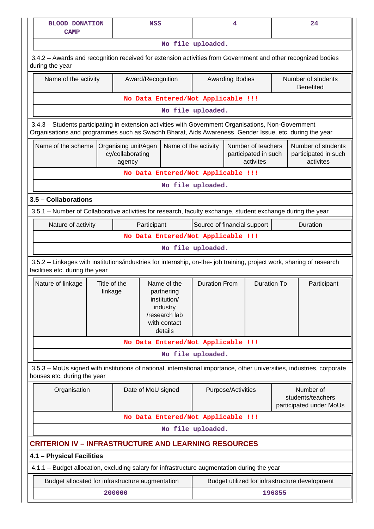| <b>BLOOD DONATION</b><br><b>NSS</b><br><b>CAMP</b>                                                                                                                                                             |                                                    |                                                                                                   |                      | 4                                                       |                                                           | 24                                                      |  |  |  |
|----------------------------------------------------------------------------------------------------------------------------------------------------------------------------------------------------------------|----------------------------------------------------|---------------------------------------------------------------------------------------------------|----------------------|---------------------------------------------------------|-----------------------------------------------------------|---------------------------------------------------------|--|--|--|
|                                                                                                                                                                                                                |                                                    |                                                                                                   | No file uploaded.    |                                                         |                                                           |                                                         |  |  |  |
| 3.4.2 - Awards and recognition received for extension activities from Government and other recognized bodies<br>during the year                                                                                |                                                    |                                                                                                   |                      |                                                         |                                                           |                                                         |  |  |  |
| Name of the activity                                                                                                                                                                                           | Award/Recognition                                  |                                                                                                   |                      | <b>Awarding Bodies</b>                                  |                                                           | Number of students<br><b>Benefited</b>                  |  |  |  |
| No Data Entered/Not Applicable !!!                                                                                                                                                                             |                                                    |                                                                                                   |                      |                                                         |                                                           |                                                         |  |  |  |
|                                                                                                                                                                                                                |                                                    |                                                                                                   | No file uploaded.    |                                                         |                                                           |                                                         |  |  |  |
| 3.4.3 - Students participating in extension activities with Government Organisations, Non-Government<br>Organisations and programmes such as Swachh Bharat, Aids Awareness, Gender Issue, etc. during the year |                                                    |                                                                                                   |                      |                                                         |                                                           |                                                         |  |  |  |
| Name of the scheme                                                                                                                                                                                             | Organising unit/Agen<br>cy/collaborating<br>agency | Name of the activity                                                                              |                      | Number of teachers<br>participated in such<br>activites |                                                           | Number of students<br>participated in such<br>activites |  |  |  |
|                                                                                                                                                                                                                | No Data Entered/Not Applicable !!!                 |                                                                                                   |                      |                                                         |                                                           |                                                         |  |  |  |
|                                                                                                                                                                                                                |                                                    |                                                                                                   | No file uploaded.    |                                                         |                                                           |                                                         |  |  |  |
| 3.5 - Collaborations                                                                                                                                                                                           |                                                    |                                                                                                   |                      |                                                         |                                                           |                                                         |  |  |  |
| 3.5.1 – Number of Collaborative activities for research, faculty exchange, student exchange during the year                                                                                                    |                                                    |                                                                                                   |                      |                                                         |                                                           |                                                         |  |  |  |
| Nature of activity                                                                                                                                                                                             | Participant                                        |                                                                                                   |                      | Source of financial support                             |                                                           | Duration                                                |  |  |  |
|                                                                                                                                                                                                                | No Data Entered/Not Applicable !!!                 |                                                                                                   |                      |                                                         |                                                           |                                                         |  |  |  |
|                                                                                                                                                                                                                |                                                    |                                                                                                   | No file uploaded.    |                                                         |                                                           |                                                         |  |  |  |
| 3.5.2 - Linkages with institutions/industries for internship, on-the- job training, project work, sharing of research<br>facilities etc. during the year                                                       |                                                    |                                                                                                   |                      |                                                         |                                                           |                                                         |  |  |  |
| Nature of linkage                                                                                                                                                                                              | Title of the<br>linkage                            | Name of the<br>partnering<br>institution/<br>industry<br>/research lab<br>with contact<br>details | <b>Duration From</b> |                                                         | <b>Duration To</b>                                        | Participant                                             |  |  |  |
|                                                                                                                                                                                                                | No Data Entered/Not Applicable !!!                 |                                                                                                   |                      |                                                         |                                                           |                                                         |  |  |  |
|                                                                                                                                                                                                                |                                                    |                                                                                                   | No file uploaded.    |                                                         |                                                           |                                                         |  |  |  |
| 3.5.3 – MoUs signed with institutions of national, international importance, other universities, industries, corporate<br>houses etc. during the year                                                          |                                                    |                                                                                                   |                      |                                                         |                                                           |                                                         |  |  |  |
| Organisation                                                                                                                                                                                                   | Date of MoU signed                                 |                                                                                                   |                      | Purpose/Activities                                      | Number of<br>students/teachers<br>participated under MoUs |                                                         |  |  |  |
|                                                                                                                                                                                                                | No Data Entered/Not Applicable !!!                 |                                                                                                   |                      |                                                         |                                                           |                                                         |  |  |  |
|                                                                                                                                                                                                                |                                                    |                                                                                                   | No file uploaded.    |                                                         |                                                           |                                                         |  |  |  |
| <b>CRITERION IV – INFRASTRUCTURE AND LEARNING RESOURCES</b>                                                                                                                                                    |                                                    |                                                                                                   |                      |                                                         |                                                           |                                                         |  |  |  |
| 4.1 - Physical Facilities                                                                                                                                                                                      |                                                    |                                                                                                   |                      |                                                         |                                                           |                                                         |  |  |  |
| 4.1.1 - Budget allocation, excluding salary for infrastructure augmentation during the year                                                                                                                    |                                                    |                                                                                                   |                      |                                                         |                                                           |                                                         |  |  |  |
| Budget allocated for infrastructure augmentation                                                                                                                                                               |                                                    |                                                                                                   |                      | Budget utilized for infrastructure development          |                                                           |                                                         |  |  |  |
|                                                                                                                                                                                                                | 200000                                             |                                                                                                   |                      |                                                         | 196855                                                    |                                                         |  |  |  |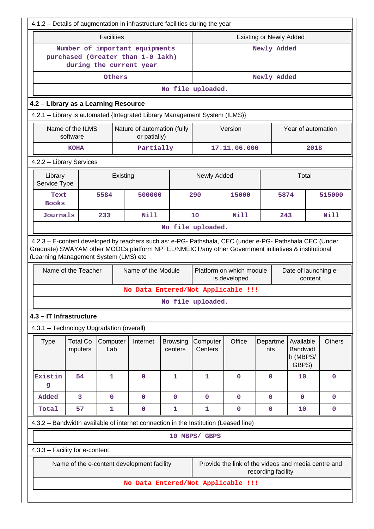| 4.1.2 – Details of augmentation in infrastructure facilities during the year                                            |                              |                   |                                                                                                                           |                            |                                |                                                                                |                 |                                                   |               |
|-------------------------------------------------------------------------------------------------------------------------|------------------------------|-------------------|---------------------------------------------------------------------------------------------------------------------------|----------------------------|--------------------------------|--------------------------------------------------------------------------------|-----------------|---------------------------------------------------|---------------|
|                                                                                                                         |                              | <b>Facilities</b> |                                                                                                                           |                            | <b>Existing or Newly Added</b> |                                                                                |                 |                                                   |               |
|                                                                                                                         |                              |                   | Number of important equipments<br>purchased (Greater than 1-0 lakh)<br>during the current year                            |                            | Newly Added                    |                                                                                |                 |                                                   |               |
|                                                                                                                         |                              | Others            |                                                                                                                           |                            |                                |                                                                                | Newly Added     |                                                   |               |
|                                                                                                                         |                              |                   |                                                                                                                           | No file uploaded.          |                                |                                                                                |                 |                                                   |               |
| 4.2 - Library as a Learning Resource                                                                                    |                              |                   |                                                                                                                           |                            |                                |                                                                                |                 |                                                   |               |
| 4.2.1 - Library is automated {Integrated Library Management System (ILMS)}                                              |                              |                   |                                                                                                                           |                            |                                |                                                                                |                 |                                                   |               |
|                                                                                                                         | Name of the ILMS<br>software |                   | Nature of automation (fully<br>or patially)                                                                               |                            |                                | Version                                                                        |                 | Year of automation                                |               |
|                                                                                                                         | <b>KOHA</b>                  |                   | Partially                                                                                                                 |                            |                                | 17.11.06.000                                                                   |                 | 2018                                              |               |
| 4.2.2 - Library Services                                                                                                |                              |                   |                                                                                                                           |                            |                                |                                                                                |                 |                                                   |               |
| Library<br>Service Type                                                                                                 |                              |                   | Existing                                                                                                                  |                            | Newly Added                    |                                                                                |                 | Total                                             |               |
| Text<br><b>Books</b>                                                                                                    |                              | 5584              | 500000                                                                                                                    |                            | 290                            | 15000                                                                          | 5874            |                                                   | 515000        |
| Journals                                                                                                                |                              | 233               | Nill                                                                                                                      |                            | 10                             | Nill                                                                           | 243             |                                                   | Nill          |
|                                                                                                                         |                              |                   |                                                                                                                           | No file uploaded.          |                                |                                                                                |                 |                                                   |               |
| (Learning Management System (LMS) etc                                                                                   | Name of the Teacher          |                   | Graduate) SWAYAM other MOOCs platform NPTEL/NMEICT/any other Government initiatives & institutional<br>Name of the Module |                            |                                | Platform on which module<br>is developed<br>No Data Entered/Not Applicable !!! |                 | Date of launching e-<br>content                   |               |
|                                                                                                                         |                              |                   |                                                                                                                           | No file uploaded.          |                                |                                                                                |                 |                                                   |               |
| 4.3 - IT Infrastructure                                                                                                 |                              |                   |                                                                                                                           |                            |                                |                                                                                |                 |                                                   |               |
| 4.3.1 - Technology Upgradation (overall)                                                                                |                              |                   |                                                                                                                           |                            |                                |                                                                                |                 |                                                   |               |
| <b>Type</b>                                                                                                             | <b>Total Co</b><br>mputers   | Computer<br>Lab   | Internet                                                                                                                  | <b>Browsing</b><br>centers | Computer<br>Centers            | Office                                                                         | Departme<br>nts | Available<br><b>Bandwidt</b><br>h (MBPS/<br>GBPS) | <b>Others</b> |
| Existin<br>g                                                                                                            | 54                           | $\mathbf{1}$      | $\mathbf 0$                                                                                                               | 1                          | 1                              | $\mathbf 0$                                                                    | $\mathbf{0}$    | 10                                                | 0             |
| Added                                                                                                                   | 3                            | $\mathbf{O}$      | $\mathbf 0$                                                                                                               | $\mathbf 0$                | 0                              | $\mathbf 0$                                                                    | $\mathbf{0}$    | $\mathbf{0}$                                      | 0             |
| Total                                                                                                                   | 57                           | $\mathbf{1}$      | $\mathbf 0$                                                                                                               | 1                          | 1                              | $\mathbf 0$                                                                    | $\mathbf 0$     | 10                                                | $\mathbf 0$   |
|                                                                                                                         |                              |                   | 4.3.2 - Bandwidth available of internet connection in the Institution (Leased line)                                       |                            |                                |                                                                                |                 |                                                   |               |
|                                                                                                                         |                              |                   |                                                                                                                           |                            | 10 MBPS/ GBPS                  |                                                                                |                 |                                                   |               |
| 4.3.3 - Facility for e-content                                                                                          |                              |                   |                                                                                                                           |                            |                                |                                                                                |                 |                                                   |               |
| Provide the link of the videos and media centre and<br>Name of the e-content development facility<br>recording facility |                              |                   |                                                                                                                           |                            |                                |                                                                                |                 |                                                   |               |
|                                                                                                                         |                              |                   |                                                                                                                           |                            |                                | No Data Entered/Not Applicable !!!                                             |                 |                                                   |               |
|                                                                                                                         |                              |                   |                                                                                                                           |                            |                                |                                                                                |                 |                                                   |               |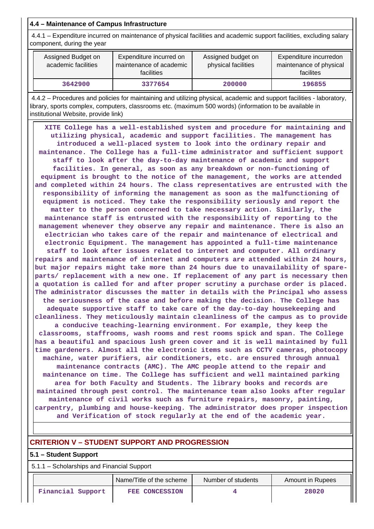## **4.4 – Maintenance of Campus Infrastructure**

 4.4.1 – Expenditure incurred on maintenance of physical facilities and academic support facilities, excluding salary component, during the year

| Assigned Budget on<br>academic facilities | Expenditure incurred on<br>maintenance of academic<br><b>facilities</b> | Assigned budget on<br>physical facilities | Expenditure incurredon<br>maintenance of physical<br>facilites |
|-------------------------------------------|-------------------------------------------------------------------------|-------------------------------------------|----------------------------------------------------------------|
| 3642900                                   | 3377654                                                                 | 200000                                    | 196855                                                         |

 4.4.2 – Procedures and policies for maintaining and utilizing physical, academic and support facilities - laboratory, library, sports complex, computers, classrooms etc. (maximum 500 words) (information to be available in institutional Website, provide link)

 **XITE College has a well-established system and procedure for maintaining and utilizing physical, academic and support facilities. The management has introduced a well-placed system to look into the ordinary repair and maintenance. The College has a full-time administrator and sufficient support staff to look after the day-to-day maintenance of academic and support facilities. In general, as soon as any breakdown or non-functioning of equipment is brought to the notice of the management, the works are attended and completed within 24 hours. The class representatives are entrusted with the responsibility of informing the management as soon as the malfunctioning of equipment is noticed. They take the responsibility seriously and report the matter to the person concerned to take necessary action. Similarly, the maintenance staff is entrusted with the responsibility of reporting to the management whenever they observe any repair and maintenance. There is also an electrician who takes care of the repair and maintenance of electrical and electronic Equipment. The management has appointed a full-time maintenance staff to look after issues related to internet and computer. All ordinary repairs and maintenance of internet and computers are attended within 24 hours, but major repairs might take more than 24 hours due to unavailability of spareparts/ replacement with a new one. If replacement of any part is necessary then a quotation is called for and after proper scrutiny a purchase order is placed. The administrator discusses the matter in details with the Principal who assess the seriousness of the case and before making the decision. The College has adequate supportive staff to take care of the day-to-day housekeeping and cleanliness. They meticulously maintain cleanliness of the campus as to provide a conducive teaching-learning environment. For example, they keep the classrooms, staffrooms, wash rooms and rest rooms spick and span. The College has a beautiful and spacious lush green cover and it is well maintained by full time gardeners. Almost all the electronic items such as CCTV cameras, photocopy machine, water purifiers, air conditioners, etc. are ensured through annual maintenance contracts (AMC). The AMC people attend to the repair and maintenance on time. The College has sufficient and well maintained parking area for both Faculty and Students. The library books and records are maintained through pest control. The maintenance team also looks after regular maintenance of civil works such as furniture repairs, masonry, painting, carpentry, plumbing and house-keeping. The administrator does proper inspection and Verification of stock regularly at the end of the academic year.**

## **CRITERION V – STUDENT SUPPORT AND PROGRESSION**

### **5.1 – Student Support**

5.1.1 – Scholarships and Financial Support

|                   | Name/Title of the scheme | Number of students | Amount in Rupees |
|-------------------|--------------------------|--------------------|------------------|
| Financial Support | FEE CONCESSION           |                    | 28020            |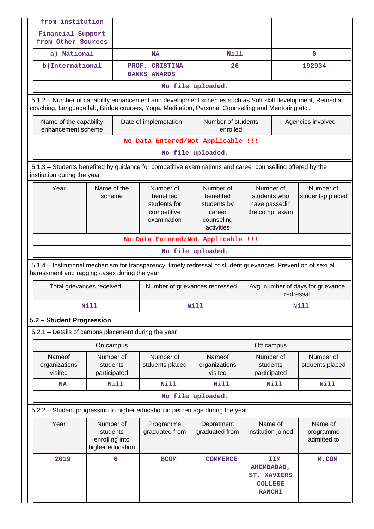| from institution |                                                                                                                                                                                                                 |                                                             |             |                                                                      |                                                                                                                                             |                                                                                   |                                     |  |  |
|------------------|-----------------------------------------------------------------------------------------------------------------------------------------------------------------------------------------------------------------|-------------------------------------------------------------|-------------|----------------------------------------------------------------------|---------------------------------------------------------------------------------------------------------------------------------------------|-----------------------------------------------------------------------------------|-------------------------------------|--|--|
|                  | Financial Support<br>from Other Sources                                                                                                                                                                         |                                                             |             |                                                                      |                                                                                                                                             |                                                                                   |                                     |  |  |
|                  | a) National                                                                                                                                                                                                     |                                                             | <b>NA</b>   |                                                                      | Nill                                                                                                                                        |                                                                                   | $\mathbf{O}$                        |  |  |
|                  | b) International                                                                                                                                                                                                |                                                             |             | PROF. CRISTINA<br><b>BANKS AWARDS</b>                                | 26                                                                                                                                          |                                                                                   | 192934                              |  |  |
|                  |                                                                                                                                                                                                                 |                                                             |             |                                                                      | No file uploaded.                                                                                                                           |                                                                                   |                                     |  |  |
|                  | 5.1.2 – Number of capability enhancement and development schemes such as Soft skill development, Remedial<br>coaching, Language lab, Bridge courses, Yoga, Meditation, Personal Counselling and Mentoring etc., |                                                             |             |                                                                      |                                                                                                                                             |                                                                                   |                                     |  |  |
|                  | Name of the capability<br>enhancement scheme                                                                                                                                                                    |                                                             |             | Date of implemetation                                                | Number of students<br>enrolled                                                                                                              |                                                                                   | Agencies involved                   |  |  |
|                  |                                                                                                                                                                                                                 |                                                             |             |                                                                      | No Data Entered/Not Applicable !!!                                                                                                          |                                                                                   |                                     |  |  |
|                  |                                                                                                                                                                                                                 |                                                             |             |                                                                      | No file uploaded.                                                                                                                           |                                                                                   |                                     |  |  |
|                  | institution during the year                                                                                                                                                                                     |                                                             |             |                                                                      | 5.1.3 – Students benefited by guidance for competitive examinations and career counselling offered by the                                   |                                                                                   |                                     |  |  |
|                  | Name of the<br>Year<br>scheme                                                                                                                                                                                   |                                                             |             | Number of<br>benefited<br>students for<br>competitive<br>examination | Number of<br>Number of<br>benefited<br>students who<br>students by<br>have passedin<br>the comp. exam<br>career<br>counseling<br>activities |                                                                                   | Number of<br>studentsp placed       |  |  |
|                  |                                                                                                                                                                                                                 |                                                             |             | No Data Entered/Not Applicable !!!                                   |                                                                                                                                             |                                                                                   |                                     |  |  |
|                  |                                                                                                                                                                                                                 |                                                             |             |                                                                      | No file uploaded.                                                                                                                           |                                                                                   |                                     |  |  |
|                  | harassment and ragging cases during the year                                                                                                                                                                    |                                                             |             |                                                                      | 5.1.4 – Institutional mechanism for transparency, timely redressal of student grievances, Prevention of sexual                              |                                                                                   |                                     |  |  |
|                  | Total grievances received                                                                                                                                                                                       |                                                             |             | Number of grievances redressed                                       |                                                                                                                                             | redressal                                                                         | Avg. number of days for grievance   |  |  |
|                  |                                                                                                                                                                                                                 | <b>Nill</b>                                                 |             |                                                                      | Nill                                                                                                                                        | Nill                                                                              |                                     |  |  |
|                  | 5.2 - Student Progression                                                                                                                                                                                       |                                                             |             |                                                                      |                                                                                                                                             |                                                                                   |                                     |  |  |
|                  |                                                                                                                                                                                                                 |                                                             |             | 5.2.1 - Details of campus placement during the year                  |                                                                                                                                             |                                                                                   |                                     |  |  |
|                  |                                                                                                                                                                                                                 | On campus                                                   |             |                                                                      |                                                                                                                                             | Off campus                                                                        |                                     |  |  |
|                  | Nameof<br>organizations<br>visited                                                                                                                                                                              | Number of<br>students<br>participated                       |             | Number of<br>stduents placed                                         | <b>Nameof</b><br>organizations<br>visited                                                                                                   | Number of<br>students<br>participated                                             | Number of<br>stduents placed        |  |  |
|                  | <b>NA</b>                                                                                                                                                                                                       |                                                             | <b>Nill</b> | <b>Nill</b>                                                          | <b>Nill</b>                                                                                                                                 | <b>Nill</b>                                                                       | <b>Nill</b>                         |  |  |
|                  |                                                                                                                                                                                                                 |                                                             |             |                                                                      | No file uploaded.                                                                                                                           |                                                                                   |                                     |  |  |
|                  |                                                                                                                                                                                                                 |                                                             |             |                                                                      | 5.2.2 - Student progression to higher education in percentage during the year                                                               |                                                                                   |                                     |  |  |
|                  | Year                                                                                                                                                                                                            | Number of<br>students<br>enrolling into<br>higher education |             | Programme<br>graduated from                                          | Depratment<br>graduated from                                                                                                                | Name of<br>institution joined                                                     | Name of<br>programme<br>admitted to |  |  |
|                  | 2019                                                                                                                                                                                                            |                                                             | 6           | <b>BCOM</b>                                                          | <b>COMMERCE</b>                                                                                                                             | <b>IIM</b><br>AHEMDABAD,<br><b>ST. XAVIERS</b><br><b>COLLEGE</b><br><b>RANCHI</b> | M.COM                               |  |  |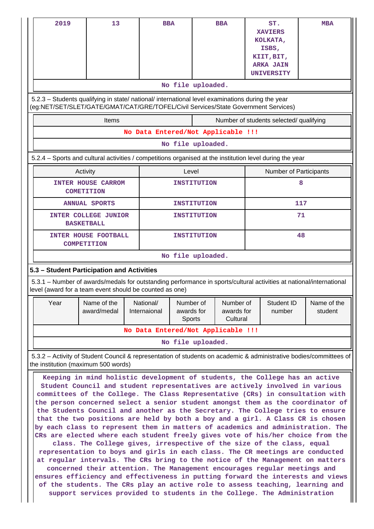| 2019<br>5.2.3 - Students qualifying in state/ national/ international level examinations during the year                                                                                                                                                                                                                                                                                                                                                                                                                                                                                                                                                                                                                                                                                                                                                                                                                                                                                                                                                                                                                                                                                                                                             | 13                                                                                                                                            |                           | <b>BBA</b><br>No file uploaded.    |                    | <b>BBA</b>                          | ST.<br><b>XAVIERS</b><br>KOLKATA,<br>ISBS,<br>KIIT, BIT,<br><b>ARKA JAIN</b><br><b>UNIVERSITY</b> |     | <b>MBA</b>             |
|------------------------------------------------------------------------------------------------------------------------------------------------------------------------------------------------------------------------------------------------------------------------------------------------------------------------------------------------------------------------------------------------------------------------------------------------------------------------------------------------------------------------------------------------------------------------------------------------------------------------------------------------------------------------------------------------------------------------------------------------------------------------------------------------------------------------------------------------------------------------------------------------------------------------------------------------------------------------------------------------------------------------------------------------------------------------------------------------------------------------------------------------------------------------------------------------------------------------------------------------------|-----------------------------------------------------------------------------------------------------------------------------------------------|---------------------------|------------------------------------|--------------------|-------------------------------------|---------------------------------------------------------------------------------------------------|-----|------------------------|
|                                                                                                                                                                                                                                                                                                                                                                                                                                                                                                                                                                                                                                                                                                                                                                                                                                                                                                                                                                                                                                                                                                                                                                                                                                                      | (eg:NET/SET/SLET/GATE/GMAT/CAT/GRE/TOFEL/Civil Services/State Government Services)<br>Number of students selected/ qualifying<br><b>Items</b> |                           |                                    |                    |                                     |                                                                                                   |     |                        |
|                                                                                                                                                                                                                                                                                                                                                                                                                                                                                                                                                                                                                                                                                                                                                                                                                                                                                                                                                                                                                                                                                                                                                                                                                                                      |                                                                                                                                               |                           | No Data Entered/Not Applicable !!! |                    |                                     |                                                                                                   |     |                        |
|                                                                                                                                                                                                                                                                                                                                                                                                                                                                                                                                                                                                                                                                                                                                                                                                                                                                                                                                                                                                                                                                                                                                                                                                                                                      |                                                                                                                                               |                           | No file uploaded.                  |                    |                                     |                                                                                                   |     |                        |
| 5.2.4 - Sports and cultural activities / competitions organised at the institution level during the year                                                                                                                                                                                                                                                                                                                                                                                                                                                                                                                                                                                                                                                                                                                                                                                                                                                                                                                                                                                                                                                                                                                                             |                                                                                                                                               |                           |                                    |                    |                                     |                                                                                                   |     |                        |
|                                                                                                                                                                                                                                                                                                                                                                                                                                                                                                                                                                                                                                                                                                                                                                                                                                                                                                                                                                                                                                                                                                                                                                                                                                                      | Activity                                                                                                                                      |                           | Level                              |                    |                                     |                                                                                                   |     | Number of Participants |
|                                                                                                                                                                                                                                                                                                                                                                                                                                                                                                                                                                                                                                                                                                                                                                                                                                                                                                                                                                                                                                                                                                                                                                                                                                                      | <b>INTER HOUSE CARROM</b><br><b>COMETITION</b>                                                                                                |                           |                                    | <b>INSTITUTION</b> |                                     |                                                                                                   | 8   |                        |
|                                                                                                                                                                                                                                                                                                                                                                                                                                                                                                                                                                                                                                                                                                                                                                                                                                                                                                                                                                                                                                                                                                                                                                                                                                                      | <b>ANNUAL SPORTS</b>                                                                                                                          |                           |                                    | <b>INSTITUTION</b> |                                     |                                                                                                   | 117 |                        |
|                                                                                                                                                                                                                                                                                                                                                                                                                                                                                                                                                                                                                                                                                                                                                                                                                                                                                                                                                                                                                                                                                                                                                                                                                                                      | <b>INTER COLLEGE JUNIOR</b><br><b>BASKETBALL</b>                                                                                              |                           |                                    | <b>INSTITUTION</b> |                                     | 71                                                                                                |     |                        |
|                                                                                                                                                                                                                                                                                                                                                                                                                                                                                                                                                                                                                                                                                                                                                                                                                                                                                                                                                                                                                                                                                                                                                                                                                                                      | <b>INTER HOUSE FOOTBALL</b><br><b>COMPETITION</b>                                                                                             |                           | <b>INSTITUTION</b>                 |                    |                                     | 48                                                                                                |     |                        |
|                                                                                                                                                                                                                                                                                                                                                                                                                                                                                                                                                                                                                                                                                                                                                                                                                                                                                                                                                                                                                                                                                                                                                                                                                                                      |                                                                                                                                               |                           | No file uploaded.                  |                    |                                     |                                                                                                   |     |                        |
| 5.3 - Student Participation and Activities                                                                                                                                                                                                                                                                                                                                                                                                                                                                                                                                                                                                                                                                                                                                                                                                                                                                                                                                                                                                                                                                                                                                                                                                           |                                                                                                                                               |                           |                                    |                    |                                     |                                                                                                   |     |                        |
| 5.3.1 – Number of awards/medals for outstanding performance in sports/cultural activities at national/international<br>level (award for a team event should be counted as one)                                                                                                                                                                                                                                                                                                                                                                                                                                                                                                                                                                                                                                                                                                                                                                                                                                                                                                                                                                                                                                                                       |                                                                                                                                               |                           |                                    |                    |                                     |                                                                                                   |     |                        |
| Year                                                                                                                                                                                                                                                                                                                                                                                                                                                                                                                                                                                                                                                                                                                                                                                                                                                                                                                                                                                                                                                                                                                                                                                                                                                 | Name of the<br>award/medal                                                                                                                    | National/<br>Internaional | Number of<br>awards for<br>Sports  |                    | Number of<br>awards for<br>Cultural | Student ID<br>number                                                                              |     | Name of the<br>student |
|                                                                                                                                                                                                                                                                                                                                                                                                                                                                                                                                                                                                                                                                                                                                                                                                                                                                                                                                                                                                                                                                                                                                                                                                                                                      |                                                                                                                                               |                           | No Data Entered/Not Applicable !!! |                    |                                     |                                                                                                   |     |                        |
|                                                                                                                                                                                                                                                                                                                                                                                                                                                                                                                                                                                                                                                                                                                                                                                                                                                                                                                                                                                                                                                                                                                                                                                                                                                      |                                                                                                                                               |                           | No file uploaded.                  |                    |                                     |                                                                                                   |     |                        |
| 5.3.2 - Activity of Student Council & representation of students on academic & administrative bodies/committees of<br>the institution (maximum 500 words)                                                                                                                                                                                                                                                                                                                                                                                                                                                                                                                                                                                                                                                                                                                                                                                                                                                                                                                                                                                                                                                                                            |                                                                                                                                               |                           |                                    |                    |                                     |                                                                                                   |     |                        |
| Keeping in mind holistic development of students, the College has an active<br>Student Council and student representatives are actively involved in various<br>committees of the College. The Class Representative (CRs) in consultation with<br>the person concerned select a senior student amongst them as the coordinator of<br>the Students Council and another as the Secretary. The College tries to ensure<br>that the two positions are held by both a boy and a girl. A Class CR is chosen<br>by each class to represent them in matters of academics and administration. The<br>CRs are elected where each student freely gives vote of his/her choice from the<br>class. The College gives, irrespective of the size of the class, equal<br>representation to boys and girls in each class. The CR meetings are conducted<br>at regular intervals. The CRs bring to the notice of the Management on matters<br>concerned their attention. The Management encourages regular meetings and<br>ensures efficiency and effectiveness in putting forward the interests and views<br>of the students. The CRs play an active role to assess teaching, learning and<br>support services provided to students in the College. The Administration |                                                                                                                                               |                           |                                    |                    |                                     |                                                                                                   |     |                        |

 $\mathbf{\mathcal{L}}$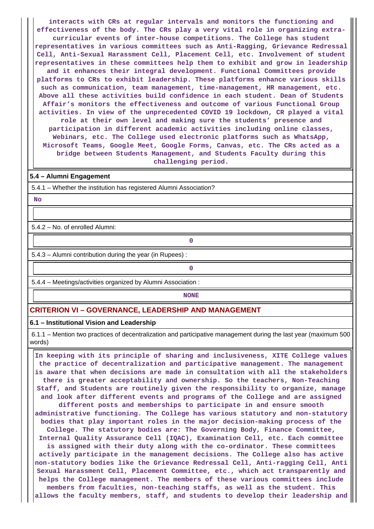**interacts with CRs at regular intervals and monitors the functioning and effectiveness of the body. The CRs play a very vital role in organizing extracurricular events of inter-house competitions. The College has student representatives in various committees such as Anti-Ragging, Grievance Redressal Cell, Anti-Sexual Harassment Cell, Placement Cell, etc. Involvement of student representatives in these committees help them to exhibit and grow in leadership and it enhances their integral development. Functional Committees provide platforms to CRs to exhibit leadership. These platforms enhance various skills such as communication, team management, time-management, HR management, etc. Above all these activities build confidence in each student. Dean of Students Affair's monitors the effectiveness and outcome of various Functional Group activities. In view of the unprecedented COVID 19 lockdown, CR played a vital role at their own level and making sure the students' presence and participation in different academic activities including online classes, Webinars, etc. The College used electronic platforms such as WhatsApp, Microsoft Teams, Google Meet, Google Forms, Canvas, etc. The CRs acted as a bridge between Students Management, and Students Faculty during this challenging period.**

#### **5.4 – Alumni Engagement**

5.4.1 – Whether the institution has registered Alumni Association?

 **No**

5.4.2 – No. of enrolled Alumni:

5.4.3 – Alumni contribution during the year (in Rupees) :

**0**

**0**

5.4.4 – Meetings/activities organized by Alumni Association :

**NONE** 

#### **CRITERION VI – GOVERNANCE, LEADERSHIP AND MANAGEMENT**

#### **6.1 – Institutional Vision and Leadership**

 6.1.1 – Mention two practices of decentralization and participative management during the last year (maximum 500 words)

 **In keeping with its principle of sharing and inclusiveness, XITE College values the practice of decentralization and participative management. The management is aware that when decisions are made in consultation with all the stakeholders there is greater acceptability and ownership. So the teachers, Non-Teaching Staff, and Students are routinely given the responsibility to organize, manage and look after different events and programs of the College and are assigned different posts and memberships to participate in and ensure smooth administrative functioning. The College has various statutory and non-statutory bodies that play important roles in the major decision-making process of the College. The statutory bodies are: The Governing Body, Finance Committee, Internal Quality Assurance Cell (IQAC), Examination Cell, etc. Each committee is assigned with their duty along with the co-ordinator. These committees actively participate in the management decisions. The College also has active non-statutory bodies like the Grievance Redressal Cell, Anti-ragging Cell, Anti Sexual Harassment Cell, Placement Committee, etc., which act transparently and helps the College management. The members of these various committees include members from faculties, non-teaching staffs, as well as the student. This allows the faculty members, staff, and students to develop their leadership and**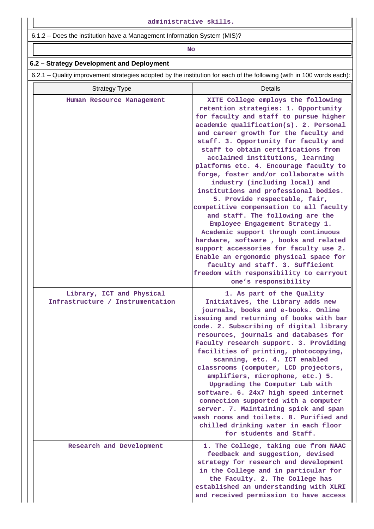6.1.2 – Does the institution have a Management Information System (MIS)?

## **No. 2. In the case of the case of the case of the case of the case of the case of the case of the case of the case of the case of the case of the case of the case of the case of the case of the case of the case of the cas**

## **6.2 – Strategy Development and Deployment**

6.2.1 – Quality improvement strategies adopted by the institution for each of the following (with in 100 words each):

| <b>Strategy Type</b>                                          | Details                                                                                                                                                                                                                                                                                                                                                                                                                                                                                                                                                                                                                                                                                                                                                                                                                                                                                                                 |
|---------------------------------------------------------------|-------------------------------------------------------------------------------------------------------------------------------------------------------------------------------------------------------------------------------------------------------------------------------------------------------------------------------------------------------------------------------------------------------------------------------------------------------------------------------------------------------------------------------------------------------------------------------------------------------------------------------------------------------------------------------------------------------------------------------------------------------------------------------------------------------------------------------------------------------------------------------------------------------------------------|
| Human Resource Management                                     | XITE College employs the following<br>retention strategies: 1. Opportunity<br>for faculty and staff to pursue higher<br>academic qualification(s). 2. Personal<br>and career growth for the faculty and<br>staff. 3. Opportunity for faculty and<br>staff to obtain certifications from<br>acclaimed institutions, learning<br>platforms etc. 4. Encourage faculty to<br>forge, foster and/or collaborate with<br>industry (including local) and<br>institutions and professional bodies.<br>5. Provide respectable, fair,<br>competitive compensation to all faculty<br>and staff. The following are the<br>Employee Engagement Strategy 1.<br>Academic support through continuous<br>hardware, software, books and related<br>support accessories for faculty use 2.<br>Enable an ergonomic physical space for<br>faculty and staff. 3. Sufficient<br>freedom with responsibility to carryout<br>one's responsibility |
| Library, ICT and Physical<br>Infrastructure / Instrumentation | 1. As part of the Quality<br>Initiatives, the Library adds new<br>journals, books and e-books. Online<br>issuing and returning of books with bar<br>code. 2. Subscribing of digital library<br>resources, journals and databases for<br>Faculty research support. 3. Providing<br>facilities of printing, photocopying,<br>scanning, etc. 4. ICT enabled<br>classrooms (computer, LCD projectors,<br>amplifiers, microphone, etc.) 5.<br>Upgrading the Computer Lab with<br>software. 6. 24x7 high speed internet<br>connection supported with a computer<br>server. 7. Maintaining spick and span<br>wash rooms and toilets. 8. Purified and<br>chilled drinking water in each floor<br>for students and Staff.                                                                                                                                                                                                        |
| Research and Development                                      | 1. The College, taking cue from NAAC<br>feedback and suggestion, devised<br>strategy for research and development<br>in the College and in particular for<br>the Faculty. 2. The College has<br>established an understanding with XLRI<br>and received permission to have access                                                                                                                                                                                                                                                                                                                                                                                                                                                                                                                                                                                                                                        |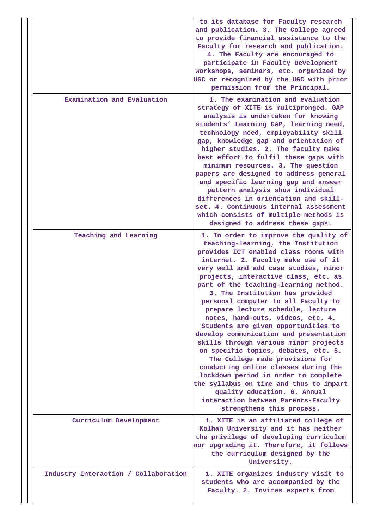|                                      | to its database for Faculty research<br>and publication. 3. The College agreed<br>to provide financial assistance to the<br>Faculty for research and publication.<br>4. The Faculty are encouraged to<br>participate in Faculty Development<br>workshops, seminars, etc. organized by<br>UGC or recognized by the UGC with prior<br>permission from the Principal.                                                                                                                                                                                                                                                                                                                                                                                                                                                                                                            |
|--------------------------------------|-------------------------------------------------------------------------------------------------------------------------------------------------------------------------------------------------------------------------------------------------------------------------------------------------------------------------------------------------------------------------------------------------------------------------------------------------------------------------------------------------------------------------------------------------------------------------------------------------------------------------------------------------------------------------------------------------------------------------------------------------------------------------------------------------------------------------------------------------------------------------------|
| Examination and Evaluation           | 1. The examination and evaluation<br>strategy of XITE is multipronged. GAP<br>analysis is undertaken for knowing<br>students' Learning GAP, learning need,<br>technology need, employability skill<br>gap, knowledge gap and orientation of<br>higher studies. 2. The faculty make<br>best effort to fulfil these gaps with<br>minimum resources. 3. The question<br>papers are designed to address general<br>and specific learning gap and answer<br>pattern analysis show individual<br>differences in orientation and skill-<br>set. 4. Continuous internal assessment<br>which consists of multiple methods is<br>designed to address these gaps.                                                                                                                                                                                                                        |
| Teaching and Learning                | 1. In order to improve the quality of<br>teaching-learning, the Institution<br>provides ICT enabled class rooms with<br>internet. 2. Faculty make use of it<br>very well and add case studies, minor<br>projects, interactive class, etc. as<br>part of the teaching-learning method.<br>3. The Institution has provided<br>personal computer to all Faculty to<br>prepare lecture schedule, lecture<br>notes, hand-outs, videos, etc. 4.<br>Students are given opportunities to<br>develop communication and presentation<br>skills through various minor projects<br>on specific topics, debates, etc. 5.<br>The College made provisions for<br>conducting online classes during the<br>lockdown period in order to complete<br>the syllabus on time and thus to impart<br>quality education. 6. Annual<br>interaction between Parents-Faculty<br>strengthens this process. |
| Curriculum Development               | 1. XITE is an affiliated college of<br>Kolhan University and it has neither<br>the privilege of developing curriculum<br>nor upgrading it. Therefore, it follows<br>the curriculum designed by the<br>University.                                                                                                                                                                                                                                                                                                                                                                                                                                                                                                                                                                                                                                                             |
| Industry Interaction / Collaboration | 1. XITE organizes industry visit to<br>students who are accompanied by the<br>Faculty. 2. Invites experts from                                                                                                                                                                                                                                                                                                                                                                                                                                                                                                                                                                                                                                                                                                                                                                |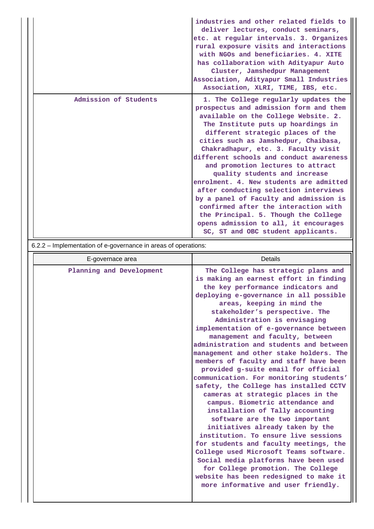|                       | industries and other related fields to<br>deliver lectures, conduct seminars,<br>etc. at regular intervals. 3. Organizes<br>rural exposure visits and interactions<br>with NGOs and beneficiaries. 4. XITE<br>has collaboration with Adityapur Auto<br>Cluster, Jamshedpur Management<br>Association, Adityapur Small Industries<br>Association, XLRI, TIME, IBS, etc.                                                                                                                                                                                                                                                                                                                         |
|-----------------------|------------------------------------------------------------------------------------------------------------------------------------------------------------------------------------------------------------------------------------------------------------------------------------------------------------------------------------------------------------------------------------------------------------------------------------------------------------------------------------------------------------------------------------------------------------------------------------------------------------------------------------------------------------------------------------------------|
| Admission of Students | 1. The College regularly updates the<br>prospectus and admission form and them<br>available on the College Website. 2.<br>The Institute puts up hoardings in<br>different strategic places of the<br>cities such as Jamshedpur, Chaibasa,<br>Chakradhapur, etc. 3. Faculty visit<br>different schools and conduct awareness<br>and promotion lectures to attract<br>quality students and increase<br>enrolment. 4. New students are admitted<br>after conducting selection interviews<br>by a panel of Faculty and admission is<br>confirmed after the interaction with<br>the Principal. 5. Though the College<br>opens admission to all, it encourages<br>SC, ST and OBC student applicants. |

6.2.2 – Implementation of e-governance in areas of operations:

| Planning and Development<br>The College has strategic plans and<br>is making an earnest effort in finding<br>the key performance indicators and<br>deploying e-governance in all possible<br>areas, keeping in mind the<br>stakeholder's perspective. The<br>Administration is envisaging<br>implementation of e-governance between<br>management and faculty, between<br>administration and students and between<br>management and other stake holders. The<br>members of faculty and staff have been<br>provided g-suite email for official<br>communication. For monitoring students'<br>safety, the College has installed CCTV<br>cameras at strategic places in the<br>campus. Biometric attendance and<br>installation of Tally accounting<br>software are the two important<br>initiatives already taken by the<br>institution. To ensure live sessions<br>for students and faculty meetings, the<br>College used Microsoft Teams software.<br>Social media platforms have been used<br>for College promotion. The College<br>website has been redesigned to make it<br>more informative and user friendly. | E-governace area | Details |  |  |  |  |
|--------------------------------------------------------------------------------------------------------------------------------------------------------------------------------------------------------------------------------------------------------------------------------------------------------------------------------------------------------------------------------------------------------------------------------------------------------------------------------------------------------------------------------------------------------------------------------------------------------------------------------------------------------------------------------------------------------------------------------------------------------------------------------------------------------------------------------------------------------------------------------------------------------------------------------------------------------------------------------------------------------------------------------------------------------------------------------------------------------------------|------------------|---------|--|--|--|--|
|                                                                                                                                                                                                                                                                                                                                                                                                                                                                                                                                                                                                                                                                                                                                                                                                                                                                                                                                                                                                                                                                                                                    |                  |         |  |  |  |  |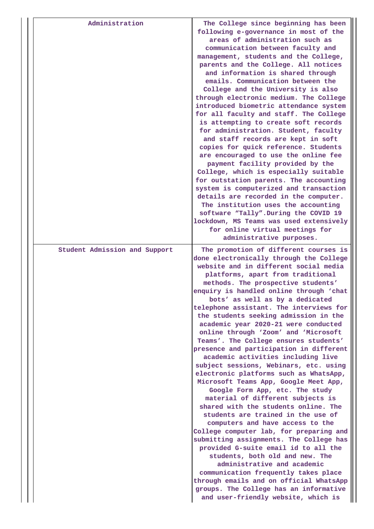| Administration                | The College since beginning has been<br>following e-governance in most of the<br>areas of administration such as<br>communication between faculty and<br>management, students and the College,<br>parents and the College. All notices<br>and information is shared through<br>emails. Communication between the<br>College and the University is also<br>through electronic medium. The College<br>introduced biometric attendance system<br>for all faculty and staff. The College<br>is attempting to create soft records<br>for administration. Student, faculty<br>and staff records are kept in soft<br>copies for quick reference. Students<br>are encouraged to use the online fee<br>payment facility provided by the<br>College, which is especially suitable<br>for outstation parents. The accounting<br>system is computerized and transaction<br>details are recorded in the computer.<br>The institution uses the accounting<br>software "Tally". During the COVID 19<br>lockdown, MS Teams was used extensively<br>for online virtual meetings for<br>administrative purposes.                                                                                                                                                                              |
|-------------------------------|-----------------------------------------------------------------------------------------------------------------------------------------------------------------------------------------------------------------------------------------------------------------------------------------------------------------------------------------------------------------------------------------------------------------------------------------------------------------------------------------------------------------------------------------------------------------------------------------------------------------------------------------------------------------------------------------------------------------------------------------------------------------------------------------------------------------------------------------------------------------------------------------------------------------------------------------------------------------------------------------------------------------------------------------------------------------------------------------------------------------------------------------------------------------------------------------------------------------------------------------------------------------------------|
| Student Admission and Support | The promotion of different courses is<br>done electronically through the College<br>website and in different social media<br>platforms, apart from traditional<br>methods. The prospective students'<br>enquiry is handled online through 'chat<br>bots' as well as by a dedicated<br>telephone assistant. The interviews for<br>the students seeking admission in the<br>academic year 2020-21 were conducted<br>online through 'Zoom' and 'Microsoft<br>Teams'. The College ensures students'<br>presence and participation in different<br>academic activities including live<br>subject sessions, Webinars, etc. using<br>electronic platforms such as WhatsApp,<br>Microsoft Teams App, Google Meet App,<br>Google Form App, etc. The study<br>material of different subjects is<br>shared with the students online. The<br>students are trained in the use of<br>computers and have access to the<br>College computer lab, for preparing and<br>submitting assignments. The College has<br>provided G-suite email id to all the<br>students, both old and new. The<br>administrative and academic<br>communication frequently takes place<br>through emails and on official WhatsApp<br>groups. The College has an informative<br>and user-friendly website, which is |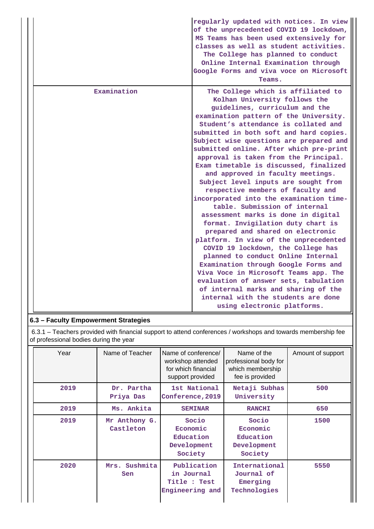|             | regularly updated with notices. In view<br>of the unprecedented COVID 19 lockdown,<br>MS Teams has been used extensively for<br>classes as well as student activities.<br>The College has planned to conduct<br>Online Internal Examination through<br>Google Forms and viva voce on Microsoft<br>Teams.                                                                                                                                                                                                                                                                                                                                                                                                                                                                                                                                                                                                                                                                                                                                                                                  |
|-------------|-------------------------------------------------------------------------------------------------------------------------------------------------------------------------------------------------------------------------------------------------------------------------------------------------------------------------------------------------------------------------------------------------------------------------------------------------------------------------------------------------------------------------------------------------------------------------------------------------------------------------------------------------------------------------------------------------------------------------------------------------------------------------------------------------------------------------------------------------------------------------------------------------------------------------------------------------------------------------------------------------------------------------------------------------------------------------------------------|
| Examination | The College which is affiliated to<br>Kolhan University follows the<br>guidelines, curriculum and the<br>examination pattern of the University.<br>Student's attendance is collated and<br>submitted in both soft and hard copies.<br>Subject wise questions are prepared and<br>submitted online. After which pre-print<br>approval is taken from the Principal.<br>Exam timetable is discussed, finalized<br>and approved in faculty meetings.<br>Subject level inputs are sought from<br>respective members of faculty and<br>incorporated into the examination time-<br>table. Submission of internal<br>assessment marks is done in digital<br>format. Invigilation duty chart is<br>prepared and shared on electronic<br>platform. In view of the unprecedented<br>COVID 19 lockdown, the College has<br>planned to conduct Online Internal<br>Examination through Google Forms and<br>Viva Voce in Microsoft Teams app. The<br>evaluation of answer sets, tabulation<br>of internal marks and sharing of the<br>internal with the students are done<br>using electronic platforms. |

## **6.3 – Faculty Empowerment Strategies**

 6.3.1 – Teachers provided with financial support to attend conferences / workshops and towards membership fee of professional bodies during the year

| Year | Name of Teacher            | Name of conference/<br>workshop attended<br>for which financial<br>support provided | Name of the<br>professional body for<br>which membership<br>fee is provided | Amount of support |
|------|----------------------------|-------------------------------------------------------------------------------------|-----------------------------------------------------------------------------|-------------------|
| 2019 | Dr. Partha<br>Priya Das    | 1st National<br>Conference, 2019                                                    | Netaji Subhas<br>University                                                 | 500               |
| 2019 | Ms. Ankita                 | <b>SEMINAR</b>                                                                      | <b>RANCHI</b>                                                               | 650               |
| 2019 | Mr Anthony G.<br>Castleton | Socio<br>Economic<br>Education<br>Development<br>Society                            | Socio<br>Economic<br>Education<br>Development<br>Society                    | 1500              |
| 2020 | Sushmita<br>Mrs.<br>Sen    | Publication<br>in Journal<br>Title : Test<br>Engineering and                        | International<br>Journal of<br>Emerging<br>Technologies                     | 5550              |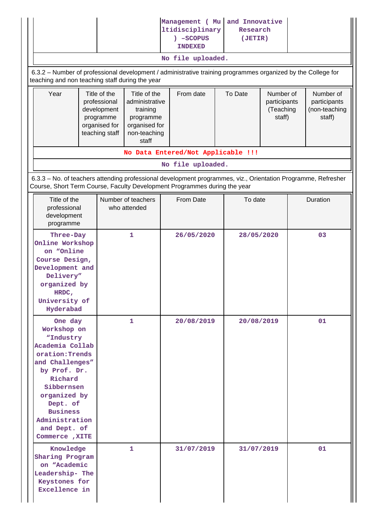|                                                                                                                                                                                                                                          |  |                                                                                                   |                                    | Management ( Mu<br>ltidisciplinary<br>) -SCOPUS<br><b>INDEXED</b><br>No file uploaded. |         | and Innovative<br>Research<br>(JETIR)            |            |                                                      |          |  |
|------------------------------------------------------------------------------------------------------------------------------------------------------------------------------------------------------------------------------------------|--|---------------------------------------------------------------------------------------------------|------------------------------------|----------------------------------------------------------------------------------------|---------|--------------------------------------------------|------------|------------------------------------------------------|----------|--|
| 6.3.2 - Number of professional development / administrative training programmes organized by the College for<br>teaching and non teaching staff during the year                                                                          |  |                                                                                                   |                                    |                                                                                        |         |                                                  |            |                                                      |          |  |
| Year<br>Title of the<br>professional<br>development<br>programme<br>organised for<br>teaching staff                                                                                                                                      |  | Title of the<br>administrative<br>training<br>programme<br>organised for<br>non-teaching<br>staff | From date                          |                                                                                        | To Date | Number of<br>participants<br>(Teaching<br>staff) |            | Number of<br>participants<br>(non-teaching<br>staff) |          |  |
|                                                                                                                                                                                                                                          |  |                                                                                                   |                                    | No Data Entered/Not Applicable !!!                                                     |         |                                                  |            |                                                      |          |  |
| 6.3.3 - No. of teachers attending professional development programmes, viz., Orientation Programme, Refresher<br>Course, Short Term Course, Faculty Development Programmes during the year                                               |  |                                                                                                   |                                    | No file uploaded.                                                                      |         |                                                  |            |                                                      |          |  |
| Title of the<br>professional<br>development<br>programme                                                                                                                                                                                 |  |                                                                                                   | Number of teachers<br>who attended | From Date                                                                              |         | To date                                          |            |                                                      | Duration |  |
| Three-Day<br>Online Workshop<br>on "Online<br>Course Design,<br>Development and<br>Delivery"<br>organized by<br>HRDC,<br>University of<br>Hyderabad                                                                                      |  |                                                                                                   | 1                                  | 26/05/2020                                                                             |         |                                                  | 28/05/2020 |                                                      | 03       |  |
| One day<br>Workshop on<br>"Industry<br>Academia Collab<br>oration: Trends<br>and Challenges"<br>by Prof. Dr.<br>Richard<br>Sibbernsen<br>organized by<br>Dept. of<br><b>Business</b><br>Administration<br>and Dept. of<br>Commerce, XITE |  |                                                                                                   | 1                                  | 20/08/2019                                                                             |         | 20/08/2019                                       |            |                                                      | 01       |  |
| Knowledge<br>Sharing Program<br>on "Academic<br>Leadership- The<br>Keystones for<br>Excellence in                                                                                                                                        |  |                                                                                                   | 1                                  | 31/07/2019                                                                             |         | 31/07/2019                                       |            |                                                      | 01       |  |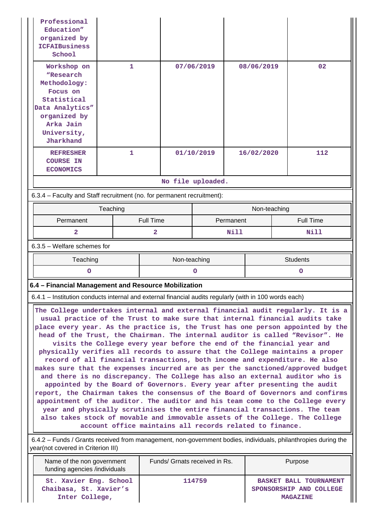| Professional<br>Education"<br>organized by<br><b>ICFAIBusiness</b><br>School                                                                                                                                                                                                                                                                                                                                                                                                                                                                                                                                                                                                                                                                                                                                                                                                                                                                                                                                                                                                                                                                                                                                                  |                                                                                                        |                  |                   |      |              |  |                  |  |
|-------------------------------------------------------------------------------------------------------------------------------------------------------------------------------------------------------------------------------------------------------------------------------------------------------------------------------------------------------------------------------------------------------------------------------------------------------------------------------------------------------------------------------------------------------------------------------------------------------------------------------------------------------------------------------------------------------------------------------------------------------------------------------------------------------------------------------------------------------------------------------------------------------------------------------------------------------------------------------------------------------------------------------------------------------------------------------------------------------------------------------------------------------------------------------------------------------------------------------|--------------------------------------------------------------------------------------------------------|------------------|-------------------|------|--------------|--|------------------|--|
| Workshop on<br>"Research<br>Methodology:<br>Focus on<br>Statistical<br>Data Analytics"<br>organized by<br>Arka Jain<br>University,<br>Jharkhand                                                                                                                                                                                                                                                                                                                                                                                                                                                                                                                                                                                                                                                                                                                                                                                                                                                                                                                                                                                                                                                                               | 1                                                                                                      |                  | 07/06/2019        |      | 08/06/2019   |  | 02               |  |
| <b>REFRESHER</b><br><b>COURSE IN</b><br><b>ECONOMICS</b>                                                                                                                                                                                                                                                                                                                                                                                                                                                                                                                                                                                                                                                                                                                                                                                                                                                                                                                                                                                                                                                                                                                                                                      | $\mathbf{1}$                                                                                           |                  | 01/10/2019        |      | 16/02/2020   |  | 112              |  |
|                                                                                                                                                                                                                                                                                                                                                                                                                                                                                                                                                                                                                                                                                                                                                                                                                                                                                                                                                                                                                                                                                                                                                                                                                               |                                                                                                        |                  | No file uploaded. |      |              |  |                  |  |
| 6.3.4 - Faculty and Staff recruitment (no. for permanent recruitment):                                                                                                                                                                                                                                                                                                                                                                                                                                                                                                                                                                                                                                                                                                                                                                                                                                                                                                                                                                                                                                                                                                                                                        |                                                                                                        |                  |                   |      |              |  |                  |  |
|                                                                                                                                                                                                                                                                                                                                                                                                                                                                                                                                                                                                                                                                                                                                                                                                                                                                                                                                                                                                                                                                                                                                                                                                                               | Teaching                                                                                               |                  |                   |      | Non-teaching |  |                  |  |
| Permanent                                                                                                                                                                                                                                                                                                                                                                                                                                                                                                                                                                                                                                                                                                                                                                                                                                                                                                                                                                                                                                                                                                                                                                                                                     |                                                                                                        | <b>Full Time</b> | Permanent         |      |              |  | <b>Full Time</b> |  |
| 2                                                                                                                                                                                                                                                                                                                                                                                                                                                                                                                                                                                                                                                                                                                                                                                                                                                                                                                                                                                                                                                                                                                                                                                                                             |                                                                                                        | 2                |                   | Nill |              |  | Nill             |  |
| 6.3.5 - Welfare schemes for                                                                                                                                                                                                                                                                                                                                                                                                                                                                                                                                                                                                                                                                                                                                                                                                                                                                                                                                                                                                                                                                                                                                                                                                   |                                                                                                        |                  |                   |      |              |  |                  |  |
| Teaching                                                                                                                                                                                                                                                                                                                                                                                                                                                                                                                                                                                                                                                                                                                                                                                                                                                                                                                                                                                                                                                                                                                                                                                                                      |                                                                                                        |                  | Non-teaching      |      |              |  | <b>Students</b>  |  |
| $\circ$                                                                                                                                                                                                                                                                                                                                                                                                                                                                                                                                                                                                                                                                                                                                                                                                                                                                                                                                                                                                                                                                                                                                                                                                                       |                                                                                                        |                  | $\circ$<br>O      |      |              |  |                  |  |
|                                                                                                                                                                                                                                                                                                                                                                                                                                                                                                                                                                                                                                                                                                                                                                                                                                                                                                                                                                                                                                                                                                                                                                                                                               | 6.4 - Financial Management and Resource Mobilization                                                   |                  |                   |      |              |  |                  |  |
|                                                                                                                                                                                                                                                                                                                                                                                                                                                                                                                                                                                                                                                                                                                                                                                                                                                                                                                                                                                                                                                                                                                                                                                                                               | 6.4.1 - Institution conducts internal and external financial audits regularly (with in 100 words each) |                  |                   |      |              |  |                  |  |
| The College undertakes internal and external financial audit regularly. It is a<br>usual practice of the Trust to make sure that internal financial audits take<br>place every year. As the practice is, the Trust has one person appointed by the<br>head of the Trust, the Chairman. The internal auditor is called "Revisor". He<br>visits the College every year before the end of the financial year and<br>physically verifies all records to assure that the College maintains a proper<br>record of all financial transactions, both income and expenditure. He also<br>makes sure that the expenses incurred are as per the sanctioned/approved budget<br>and there is no discrepancy. The College has also an external auditor who is<br>appointed by the Board of Governors. Every year after presenting the audit<br>report, the Chairman takes the consensus of the Board of Governors and confirms<br>appointment of the auditor. The auditor and his team come to the College every<br>year and physically scrutinises the entire financial transactions. The team<br>also takes stock of movable and immovable assets of the College. The College<br>account office maintains all records related to finance. |                                                                                                        |                  |                   |      |              |  |                  |  |
|                                                                                                                                                                                                                                                                                                                                                                                                                                                                                                                                                                                                                                                                                                                                                                                                                                                                                                                                                                                                                                                                                                                                                                                                                               |                                                                                                        |                  |                   |      |              |  |                  |  |
| 6.4.2 – Funds / Grants received from management, non-government bodies, individuals, philanthropies during the<br>year(not covered in Criterion III)                                                                                                                                                                                                                                                                                                                                                                                                                                                                                                                                                                                                                                                                                                                                                                                                                                                                                                                                                                                                                                                                          |                                                                                                        |                  |                   |      |              |  |                  |  |

| Name of the non government<br>funding agencies /individuals        | Funds/ Grnats received in Rs. | Purpose                                                                     |
|--------------------------------------------------------------------|-------------------------------|-----------------------------------------------------------------------------|
| St. Xavier Eng. School<br>Chaibasa, St. Xavier's<br>Inter College, | 114759                        | <b>BASKET BALL TOURNAMENT</b><br>SPONSORSHIP AND COLLEGE<br><b>MAGAZINE</b> |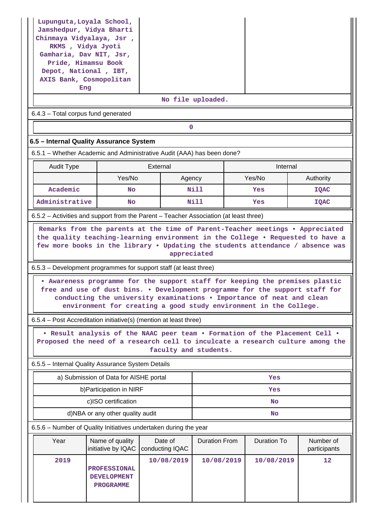| Lupunguta, Loyala School,<br>Jamshedpur, Vidya Bharti<br>Chinmaya Vidyalaya, Jsr,<br>RKMS, Vidya Jyoti<br>Gamharia, Dav NIT, Jsr,<br>Pride, Himamsu Book<br>Depot, National, IBT,<br>AXIS Bank, Cosmopolitan<br>Eng                               |                                                               |                                                                                                                                            |                      |  |             |                           |  |  |  |  |  |
|---------------------------------------------------------------------------------------------------------------------------------------------------------------------------------------------------------------------------------------------------|---------------------------------------------------------------|--------------------------------------------------------------------------------------------------------------------------------------------|----------------------|--|-------------|---------------------------|--|--|--|--|--|
| No file uploaded.                                                                                                                                                                                                                                 |                                                               |                                                                                                                                            |                      |  |             |                           |  |  |  |  |  |
| 6.4.3 - Total corpus fund generated<br>$\mathbf 0$                                                                                                                                                                                                |                                                               |                                                                                                                                            |                      |  |             |                           |  |  |  |  |  |
| 6.5 - Internal Quality Assurance System                                                                                                                                                                                                           |                                                               |                                                                                                                                            |                      |  |             |                           |  |  |  |  |  |
| 6.5.1 – Whether Academic and Administrative Audit (AAA) has been done?                                                                                                                                                                            |                                                               |                                                                                                                                            |                      |  |             |                           |  |  |  |  |  |
| <b>Audit Type</b>                                                                                                                                                                                                                                 |                                                               | External                                                                                                                                   |                      |  | Internal    |                           |  |  |  |  |  |
|                                                                                                                                                                                                                                                   | Yes/No                                                        |                                                                                                                                            | Agency               |  | Yes/No      | Authority                 |  |  |  |  |  |
| Academic                                                                                                                                                                                                                                          | No                                                            |                                                                                                                                            | Nill                 |  | Yes         | <b>IQAC</b>               |  |  |  |  |  |
| Administrative                                                                                                                                                                                                                                    | No                                                            |                                                                                                                                            | Nill                 |  | Yes         | IQAC                      |  |  |  |  |  |
| 6.5.2 – Activities and support from the Parent – Teacher Association (at least three)                                                                                                                                                             |                                                               |                                                                                                                                            |                      |  |             |                           |  |  |  |  |  |
| Remarks from the parents at the time of Parent-Teacher meetings . Appreciated<br>the quality teaching-learning environment in the College . Requested to have a<br>few more books in the library . Updating the students attendance / absence was |                                                               |                                                                                                                                            | appreciated          |  |             |                           |  |  |  |  |  |
| 6.5.3 – Development programmes for support staff (at least three)                                                                                                                                                                                 |                                                               |                                                                                                                                            |                      |  |             |                           |  |  |  |  |  |
| . Awareness programme for the support staff for keeping the premises plastic<br>free and use of dust bins. . Development programme for the support staff for                                                                                      |                                                               | conducting the university examinations . Importance of neat and clean<br>environment for creating a good study environment in the College. |                      |  |             |                           |  |  |  |  |  |
| 6.5.4 – Post Accreditation initiative(s) (mention at least three)                                                                                                                                                                                 |                                                               |                                                                                                                                            |                      |  |             |                           |  |  |  |  |  |
| . Result analysis of the NAAC peer team . Formation of the Placement Cell .<br>Proposed the need of a research cell to inculcate a research culture among the                                                                                     |                                                               | faculty and students.                                                                                                                      |                      |  |             |                           |  |  |  |  |  |
| 6.5.5 - Internal Quality Assurance System Details                                                                                                                                                                                                 |                                                               |                                                                                                                                            |                      |  |             |                           |  |  |  |  |  |
|                                                                                                                                                                                                                                                   | a) Submission of Data for AISHE portal                        |                                                                                                                                            |                      |  | Yes         |                           |  |  |  |  |  |
|                                                                                                                                                                                                                                                   | b) Participation in NIRF                                      |                                                                                                                                            |                      |  | Yes         |                           |  |  |  |  |  |
|                                                                                                                                                                                                                                                   | c)ISO certification                                           |                                                                                                                                            |                      |  | <b>No</b>   |                           |  |  |  |  |  |
|                                                                                                                                                                                                                                                   | d)NBA or any other quality audit                              |                                                                                                                                            | No                   |  |             |                           |  |  |  |  |  |
| 6.5.6 - Number of Quality Initiatives undertaken during the year                                                                                                                                                                                  |                                                               |                                                                                                                                            |                      |  |             |                           |  |  |  |  |  |
| Year                                                                                                                                                                                                                                              | Name of quality<br>initiative by IQAC                         | Date of<br>conducting IQAC                                                                                                                 | <b>Duration From</b> |  | Duration To | Number of<br>participants |  |  |  |  |  |
| 2019                                                                                                                                                                                                                                              | <b>PROFESSIONAL</b><br><b>DEVELOPMENT</b><br><b>PROGRAMME</b> | 10/08/2019                                                                                                                                 | 10/08/2019           |  | 10/08/2019  | 12                        |  |  |  |  |  |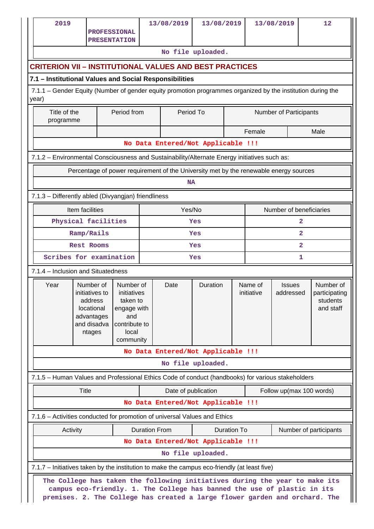| 2019                                                                                                                                                                  |                                                                                             | <b>PROFESSIONAL</b>                                                                                                                                                                                                                    |  | 13/08/2019                         | 13/08/2019        |  |                       | 13/08/2019                 | 12                                                  |  |  |
|-----------------------------------------------------------------------------------------------------------------------------------------------------------------------|---------------------------------------------------------------------------------------------|----------------------------------------------------------------------------------------------------------------------------------------------------------------------------------------------------------------------------------------|--|------------------------------------|-------------------|--|-----------------------|----------------------------|-----------------------------------------------------|--|--|
|                                                                                                                                                                       |                                                                                             | <b>PRESENTATION</b>                                                                                                                                                                                                                    |  |                                    | No file uploaded. |  |                       |                            |                                                     |  |  |
|                                                                                                                                                                       |                                                                                             |                                                                                                                                                                                                                                        |  |                                    |                   |  |                       |                            |                                                     |  |  |
|                                                                                                                                                                       | <b>CRITERION VII - INSTITUTIONAL VALUES AND BEST PRACTICES</b>                              |                                                                                                                                                                                                                                        |  |                                    |                   |  |                       |                            |                                                     |  |  |
| 7.1 - Institutional Values and Social Responsibilities<br>7.1.1 - Gender Equity (Number of gender equity promotion programmes organized by the institution during the |                                                                                             |                                                                                                                                                                                                                                        |  |                                    |                   |  |                       |                            |                                                     |  |  |
| year)                                                                                                                                                                 |                                                                                             |                                                                                                                                                                                                                                        |  |                                    |                   |  |                       |                            |                                                     |  |  |
|                                                                                                                                                                       | Title of the<br>Period from<br>Period To<br><b>Number of Participants</b><br>programme      |                                                                                                                                                                                                                                        |  |                                    |                   |  |                       |                            |                                                     |  |  |
|                                                                                                                                                                       | Female<br>Male                                                                              |                                                                                                                                                                                                                                        |  |                                    |                   |  |                       |                            |                                                     |  |  |
|                                                                                                                                                                       |                                                                                             |                                                                                                                                                                                                                                        |  | No Data Entered/Not Applicable !!! |                   |  |                       |                            |                                                     |  |  |
| 7.1.2 - Environmental Consciousness and Sustainability/Alternate Energy initiatives such as:                                                                          |                                                                                             |                                                                                                                                                                                                                                        |  |                                    |                   |  |                       |                            |                                                     |  |  |
|                                                                                                                                                                       |                                                                                             | Percentage of power requirement of the University met by the renewable energy sources                                                                                                                                                  |  |                                    |                   |  |                       |                            |                                                     |  |  |
|                                                                                                                                                                       |                                                                                             |                                                                                                                                                                                                                                        |  | <b>NA</b>                          |                   |  |                       |                            |                                                     |  |  |
| 7.1.3 - Differently abled (Divyangjan) friendliness                                                                                                                   |                                                                                             |                                                                                                                                                                                                                                        |  |                                    |                   |  |                       |                            |                                                     |  |  |
|                                                                                                                                                                       | Item facilities                                                                             |                                                                                                                                                                                                                                        |  | Yes/No                             |                   |  |                       | Number of beneficiaries    |                                                     |  |  |
|                                                                                                                                                                       |                                                                                             | Physical facilities                                                                                                                                                                                                                    |  |                                    | Yes               |  |                       | 2                          |                                                     |  |  |
|                                                                                                                                                                       | Ramp/Rails                                                                                  |                                                                                                                                                                                                                                        |  |                                    | Yes               |  |                       | $\overline{a}$             |                                                     |  |  |
|                                                                                                                                                                       | <b>Rest Rooms</b>                                                                           |                                                                                                                                                                                                                                        |  |                                    | Yes               |  |                       | 2                          |                                                     |  |  |
|                                                                                                                                                                       |                                                                                             | Scribes for examination                                                                                                                                                                                                                |  |                                    | Yes               |  |                       | 1                          |                                                     |  |  |
| 7.1.4 - Inclusion and Situatedness                                                                                                                                    |                                                                                             |                                                                                                                                                                                                                                        |  |                                    |                   |  |                       |                            |                                                     |  |  |
| Year                                                                                                                                                                  | Number of<br>initiatives to<br>address<br>locational<br>advantages<br>and disadva<br>ntages | Number of<br>initiatives<br>taken to<br>engage with<br>and<br>contribute to<br>local<br>community                                                                                                                                      |  | Date                               | Duration          |  | Name of<br>initiative | <b>Issues</b><br>addressed | Number of<br>participating<br>students<br>and staff |  |  |
|                                                                                                                                                                       |                                                                                             |                                                                                                                                                                                                                                        |  | No Data Entered/Not Applicable !!! |                   |  |                       |                            |                                                     |  |  |
|                                                                                                                                                                       |                                                                                             |                                                                                                                                                                                                                                        |  |                                    | No file uploaded. |  |                       |                            |                                                     |  |  |
| 7.1.5 - Human Values and Professional Ethics Code of conduct (handbooks) for various stakeholders                                                                     |                                                                                             |                                                                                                                                                                                                                                        |  |                                    |                   |  |                       |                            |                                                     |  |  |
|                                                                                                                                                                       | Title                                                                                       |                                                                                                                                                                                                                                        |  | Date of publication                |                   |  |                       | Follow up(max 100 words)   |                                                     |  |  |
|                                                                                                                                                                       |                                                                                             |                                                                                                                                                                                                                                        |  | No Data Entered/Not Applicable !!! |                   |  |                       |                            |                                                     |  |  |
| 7.1.6 - Activities conducted for promotion of universal Values and Ethics                                                                                             |                                                                                             |                                                                                                                                                                                                                                        |  |                                    |                   |  |                       |                            |                                                     |  |  |
|                                                                                                                                                                       | <b>Duration From</b><br>Activity<br>Duration To<br>Number of participants                   |                                                                                                                                                                                                                                        |  |                                    |                   |  |                       |                            |                                                     |  |  |
|                                                                                                                                                                       |                                                                                             |                                                                                                                                                                                                                                        |  | No Data Entered/Not Applicable !!! |                   |  |                       |                            |                                                     |  |  |
|                                                                                                                                                                       |                                                                                             |                                                                                                                                                                                                                                        |  |                                    | No file uploaded. |  |                       |                            |                                                     |  |  |
| 7.1.7 – Initiatives taken by the institution to make the campus eco-friendly (at least five)                                                                          |                                                                                             |                                                                                                                                                                                                                                        |  |                                    |                   |  |                       |                            |                                                     |  |  |
|                                                                                                                                                                       |                                                                                             | The College has taken the following initiatives during the year to make its<br>campus eco-friendly. 1. The College has banned the use of plastic in its<br>premises. 2. The College has created a large flower garden and orchard. The |  |                                    |                   |  |                       |                            |                                                     |  |  |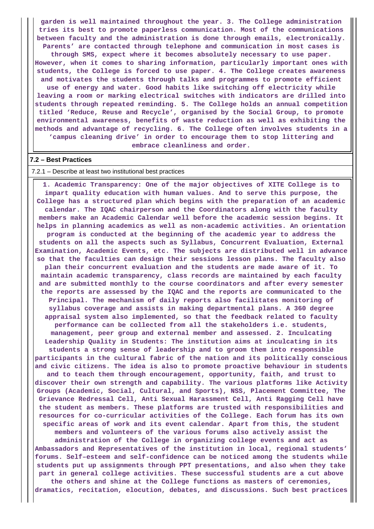**garden is well maintained throughout the year. 3. The College administration tries its best to promote paperless communication. Most of the communications between faculty and the administration is done through emails, electronically. Parents' are contacted through telephone and communication in most cases is through SMS, expect where it becomes absolutely necessary to use paper. However, when it comes to sharing information, particularly important ones with students, the College is forced to use paper. 4. The College creates awareness and motivates the students through talks and programmes to promote efficient use of energy and water. Good habits like switching off electricity while leaving a room or marking electrical switches with indicators are drilled into students through repeated reminding. 5. The College holds an annual competition titled 'Reduce, Reuse and Recycle', organised by the Social Group, to promote environmental awareness, benefits of waste reduction as well as exhibiting the methods and advantage of recycling. 6. The College often involves students in a 'campus cleaning drive' in order to encourage them to stop littering and embrace cleanliness and order.**

#### **7.2 – Best Practices**

#### 7.2.1 – Describe at least two institutional best practices

 **1. Academic Transparency: One of the major objectives of XITE College is to impart quality education with human values. And to serve this purpose, the College has a structured plan which begins with the preparation of an academic calendar. The IQAC chairperson and the Coordinators along with the faculty members make an Academic Calendar well before the academic session begins. It helps in planning academics as well as non-academic activities. An orientation program is conducted at the beginning of the academic year to address the students on all the aspects such as Syllabus, Concurrent Evaluation, External Examination, Academic Events, etc. The subjects are distributed well in advance so that the faculties can design their sessions lesson plans. The faculty also plan their concurrent evaluation and the students are made aware of it. To maintain academic transparency, class records are maintained by each faculty and are submitted monthly to the course coordinators and after every semester the reports are assessed by the IQAC and the reports are communicated to the Principal. The mechanism of daily reports also facilitates monitoring of syllabus coverage and assists in making departmental plans. A 360 degree appraisal system also implemented, so that the feedback related to faculty performance can be collected from all the stakeholders i.e. students, management, peer group and external member and assessed. 2. Inculcating Leadership Quality in Students: The institution aims at inculcating in its students a strong sense of leadership and to groom them into responsible participants in the cultural fabric of the nation and its politically conscious and civic citizens. The idea is also to promote proactive behaviour in students and to teach them through encouragement, opportunity, faith, and trust to discover their own strength and capability. The various platforms like Activity Groups (Academic, Social, Cultural, and Sports), NSS, Placement Committee, The Grievance Redressal Cell, Anti Sexual Harassment Cell, Anti Ragging Cell have the student as members. These platforms are trusted with responsibilities and resources for co-curricular activities of the College. Each forum has its own specific areas of work and its event calendar. Apart from this, the student members and volunteers of the various forums also actively assist the administration of the College in organizing college events and act as Ambassadors and Representatives of the institution in local, regional students' forums. Self–esteem and self-confidence can be noticed among the students while students put up assignments through PPT presentations, and also when they take**

**part in general college activities. These successful students are a cut above the others and shine at the College functions as masters of ceremonies, dramatics, recitation, elocution, debates, and discussions. Such best practices**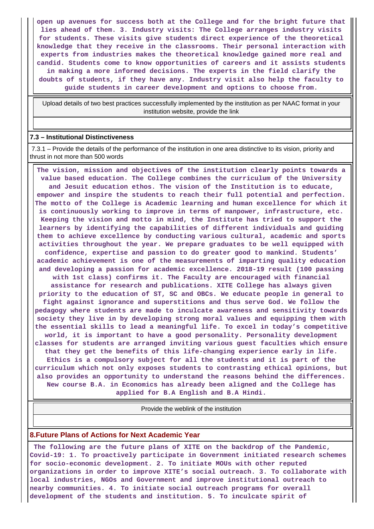**open up avenues for success both at the College and for the bright future that lies ahead of them. 3. Industry visits: The College arranges industry visits for students. These visits give students direct experience of the theoretical knowledge that they receive in the classrooms. Their personal interaction with experts from industries makes the theoretical knowledge gained more real and candid. Students come to know opportunities of careers and it assists students in making a more informed decisions. The experts in the field clarify the doubts of students, if they have any. Industry visit also help the faculty to guide students in career development and options to choose from.**

 Upload details of two best practices successfully implemented by the institution as per NAAC format in your institution website, provide the link

#### **7.3 – Institutional Distinctiveness**

 7.3.1 – Provide the details of the performance of the institution in one area distinctive to its vision, priority and thrust in not more than 500 words

 **The vision, mission and objectives of the institution clearly points towards a value based education. The College combines the curriculum of the University and Jesuit education ethos. The vision of the Institution is to educate, empower and inspire the students to reach their full potential and perfection. The motto of the College is Academic learning and human excellence for which it is continuously working to improve in terms of manpower, infrastructure, etc. Keeping the vision and motto in mind, the Institute has tried to support the learners by identifying the capabilities of different individuals and guiding them to achieve excellence by conducting various cultural, academic and sports activities throughout the year. We prepare graduates to be well equipped with confidence, expertise and passion to do greater good to mankind. Students' academic achievement is one of the measurements of imparting quality education and developing a passion for academic excellence. 2018-19 result (100 passing with 1st class) confirms it. The Faculty are encouraged with financial assistance for research and publications. XITE College has always given priority to the education of ST, SC and OBCs. We educate people in general to fight against ignorance and superstitions and thus serve God. We follow the pedagogy where students are made to inculcate awareness and sensitivity towards society they live in by developing strong moral values and equipping them with the essential skills to lead a meaningful life. To excel in today's competitive world, it is important to have a good personality. Personality development classes for students are arranged inviting various guest faculties which ensure that they get the benefits of this life-changing experience early in life. Ethics is a compulsory subject for all the students and it is part of the curriculum which not only exposes students to contrasting ethical opinions, but also provides an opportunity to understand the reasons behind the differences. New course B.A. in Economics has already been aligned and the College has applied for B.A English and B.A Hindi.**

Provide the weblink of the institution

#### **8.Future Plans of Actions for Next Academic Year**

 **The following are the future plans of XITE on the backdrop of the Pandemic, Covid-19: 1. To proactively participate in Government initiated research schemes for socio-economic development. 2. To initiate MOUs with other reputed organizations in order to improve XITE's social outreach. 3. To collaborate with local industries, NGOs and Government and improve institutional outreach to nearby communities. 4. To initiate social outreach programs for overall development of the students and institution. 5. To inculcate spirit of**